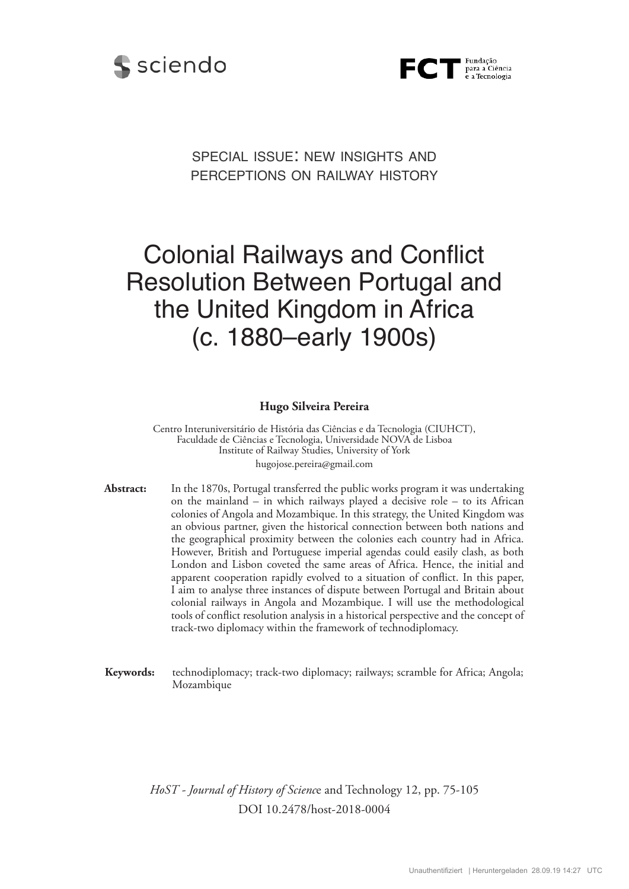



special issue: new insights and perceptions on railway history

# Colonial Railways and Conflict Resolution Between Portugal and the United Kingdom in Africa (c. 1880–early 1900s)

#### **Hugo Silveira Pereira**

hugojose.pereira@gmail.com Centro Interuniversitário de História das Ciências e da Tecnologia (CIUHCT), Faculdade de Ciências e Tecnologia, Universidade NOVA de Lisboa Institute of Railway Studies, University of York

**Abstract:** In the 1870s, Portugal transferred the public works program it was undertaking on the mainland – in which railways played a decisive role – to its African colonies of Angola and Mozambique. In this strategy, the United Kingdom was an obvious partner, given the historical connection between both nations and the geographical proximity between the colonies each country had in Africa. However, British and Portuguese imperial agendas could easily clash, as both London and Lisbon coveted the same areas of Africa. Hence, the initial and apparent cooperation rapidly evolved to a situation of conflict. In this paper, I aim to analyse three instances of dispute between Portugal and Britain about colonial railways in Angola and Mozambique. I will use the methodological tools of conflict resolution analysis in a historical perspective and the concept of track-two diplomacy within the framework of technodiplomacy.

**Keywords:** technodiplomacy; track-two diplomacy; railways; scramble for Africa; Angola; Mozambique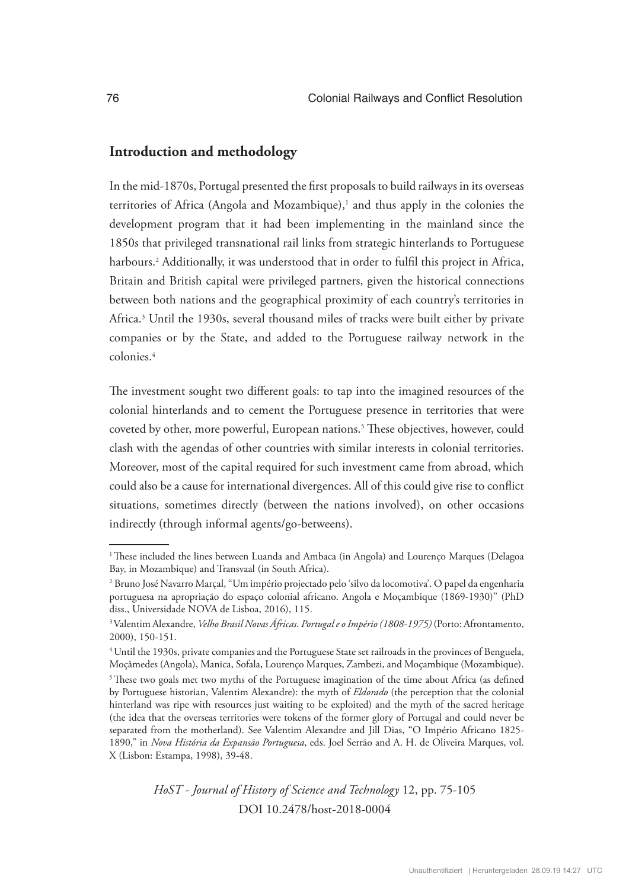### **Introduction and methodology**

In the mid-1870s, Portugal presented the first proposals to build railways in its overseas territories of Africa (Angola and Mozambique),<sup>1</sup> and thus apply in the colonies the development program that it had been implementing in the mainland since the 1850s that privileged transnational rail links from strategic hinterlands to Portuguese harbours.<sup>2</sup> Additionally, it was understood that in order to fulfil this project in Africa, Britain and British capital were privileged partners, given the historical connections between both nations and the geographical proximity of each country's territories in Africa.3 Until the 1930s, several thousand miles of tracks were built either by private companies or by the State, and added to the Portuguese railway network in the colonies.4

The investment sought two different goals: to tap into the imagined resources of the colonial hinterlands and to cement the Portuguese presence in territories that were coveted by other, more powerful, European nations.5 These objectives, however, could clash with the agendas of other countries with similar interests in colonial territories. Moreover, most of the capital required for such investment came from abroad, which could also be a cause for international divergences. All of this could give rise to conflict situations, sometimes directly (between the nations involved), on other occasions indirectly (through informal agents/go-betweens).

<sup>&</sup>lt;sup>1</sup>These included the lines between Luanda and Ambaca (in Angola) and Lourenço Marques (Delagoa Bay, in Mozambique) and Transvaal (in South Africa).

<sup>2</sup> Bruno José Navarro Marçal, "Um império projectado pelo 'silvo da locomotiva'. O papel da engenharia portuguesa na apropriação do espaço colonial africano. Angola e Moçambique (1869-1930)" (PhD diss., Universidade NOVA de Lisboa, 2016), 115.

<sup>3</sup>Valentim Alexandre, *Velho Brasil Novas Áfricas. Portugal e o Império (1808-1975)* (Porto: Afrontamento, 2000), 150-151.

<sup>&</sup>lt;sup>4</sup> Until the 1930s, private companies and the Portuguese State set railroads in the provinces of Benguela, Moçâmedes (Angola), Manica, Sofala, Lourenço Marques, Zambezi, and Moçambique (Mozambique). <sup>5</sup>These two goals met two myths of the Portuguese imagination of the time about Africa (as defined by Portuguese historian, Valentim Alexandre): the myth of *Eldorado* (the perception that the colonial hinterland was ripe with resources just waiting to be exploited) and the myth of the sacred heritage (the idea that the overseas territories were tokens of the former glory of Portugal and could never be separated from the motherland). See Valentim Alexandre and Jill Dias, "O Império Africano 1825- 1890," in *Nova História da Expansão Portuguesa*, eds. Joel Serrão and A. H. de Oliveira Marques, vol. X (Lisbon: Estampa, 1998), 39-48.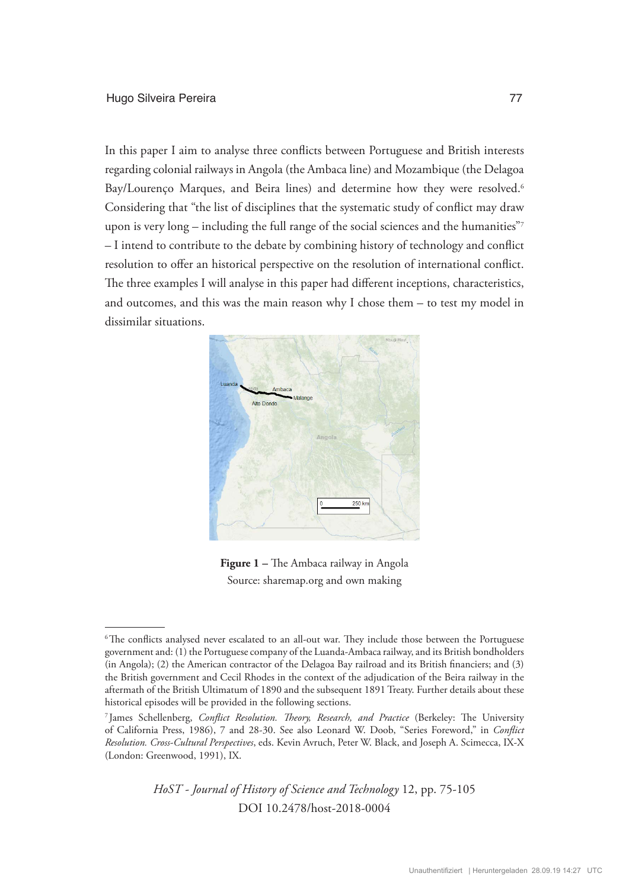In this paper I aim to analyse three conflicts between Portuguese and British interests regarding colonial railways in Angola (the Ambaca line) and Mozambique (the Delagoa Bay/Lourenço Marques, and Beira lines) and determine how they were resolved.<sup>6</sup> Considering that "the list of disciplines that the systematic study of conflict may draw upon is very long – including the full range of the social sciences and the humanities"<sup>7</sup> – I intend to contribute to the debate by combining history of technology and conflict resolution to offer an historical perspective on the resolution of international conflict. The three examples I will analyse in this paper had different inceptions, characteristics, and outcomes, and this was the main reason why I chose them  $-$  to test my model in dissimilar situations.



**Figure 1 –** The Ambaca railway in Angola Source: sharemap.org and own making

<sup>&</sup>lt;sup>6</sup>The conflicts analysed never escalated to an all-out war. They include those between the Portuguese government and: (1) the Portuguese company of the Luanda-Ambaca railway, and its British bondholders (in Angola); (2) the American contractor of the Delagoa Bay railroad and its British financiers; and (3) the British government and Cecil Rhodes in the context of the adjudication of the Beira railway in the aftermath of the British Ultimatum of 1890 and the subsequent 1891 Treaty. Further details about these historical episodes will be provided in the following sections.

<sup>7</sup> James Schellenberg, *Conflict Resolution. Theory, Research, and Practice* (Berkeley: The University of California Press, 1986), 7 and 28-30. See also Leonard W. Doob, "Series Foreword," in *Conflict Resolution. Cross-Cultural Perspectives*, eds. Kevin Avruch, Peter W. Black, and Joseph A. Scimecca, IX-X (London: Greenwood, 1991), IX.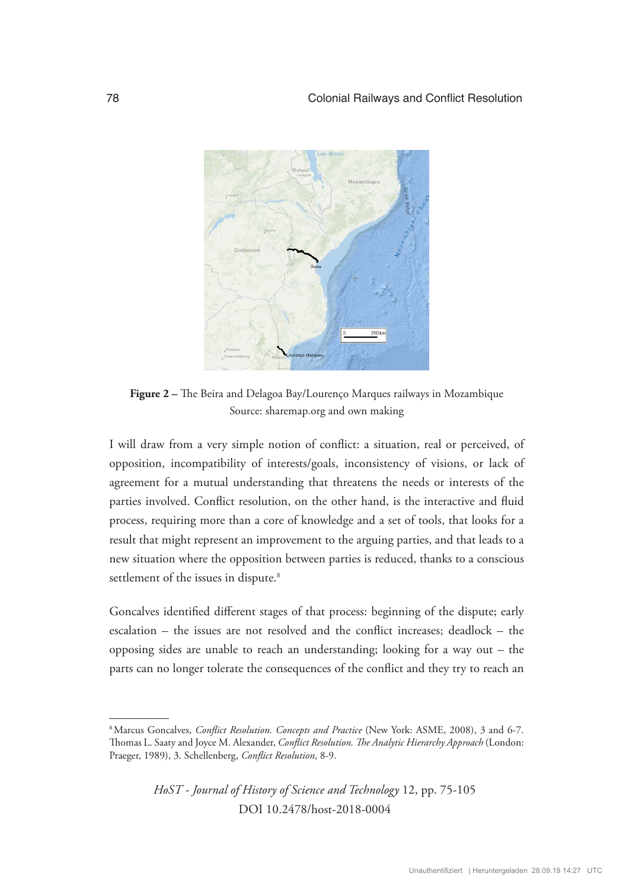

**Figure 2 –** The Beira and Delagoa Bay/Lourenço Marques railways in Mozambique Source: sharemap.org and own making

I will draw from a very simple notion of conflict: a situation, real or perceived, of opposition, incompatibility of interests/goals, inconsistency of visions, or lack of agreement for a mutual understanding that threatens the needs or interests of the parties involved. Conflict resolution, on the other hand, is the interactive and fluid process, requiring more than a core of knowledge and a set of tools, that looks for a result that might represent an improvement to the arguing parties, and that leads to a new situation where the opposition between parties is reduced, thanks to a conscious settlement of the issues in dispute.<sup>8</sup>

Goncalves identified different stages of that process: beginning of the dispute; early escalation – the issues are not resolved and the conflict increases; deadlock – the opposing sides are unable to reach an understanding; looking for a way out – the parts can no longer tolerate the consequences of the conflict and they try to reach an

<sup>8</sup>Marcus Goncalves, *Conflict Resolution. Concepts and Practice* (New York: ASME, 2008), 3 and 6-7. Thomas L. Saaty and Joyce M. Alexander, *Conflict Resolution. The Analytic Hierarchy Approach* (London: Praeger, 1989), 3. Schellenberg, *Conflict Resolution*, 8-9.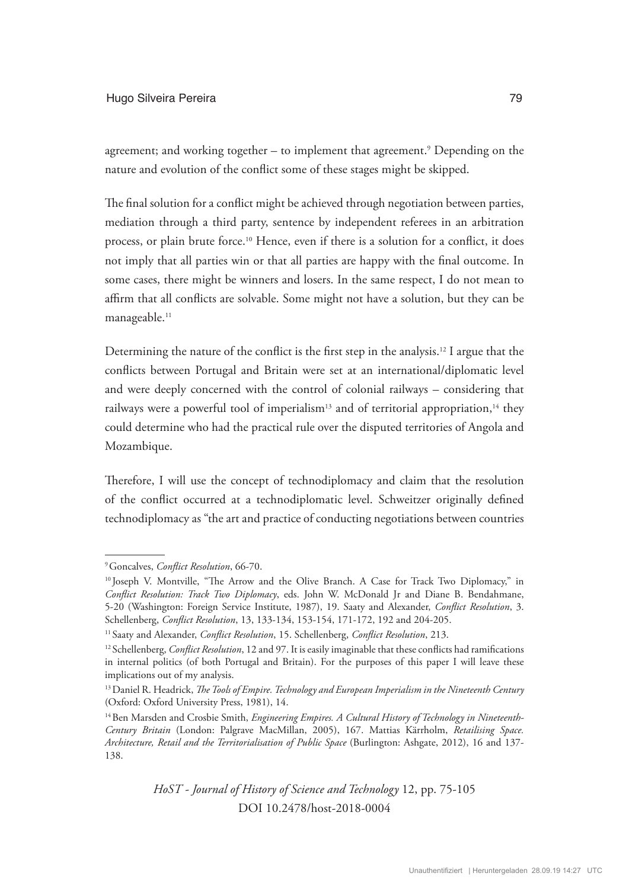#### Hugo Silveira Pereira 79

agreement; and working together – to implement that agreement.9 Depending on the nature and evolution of the conflict some of these stages might be skipped.

The final solution for a conflict might be achieved through negotiation between parties, mediation through a third party, sentence by independent referees in an arbitration process, or plain brute force.<sup>10</sup> Hence, even if there is a solution for a conflict, it does not imply that all parties win or that all parties are happy with the final outcome. In some cases, there might be winners and losers. In the same respect, I do not mean to affirm that all conflicts are solvable. Some might not have a solution, but they can be manageable.<sup>11</sup>

Determining the nature of the conflict is the first step in the analysis.12 I argue that the conflicts between Portugal and Britain were set at an international/diplomatic level and were deeply concerned with the control of colonial railways – considering that railways were a powerful tool of imperialism<sup>13</sup> and of territorial appropriation,<sup>14</sup> they could determine who had the practical rule over the disputed territories of Angola and Mozambique.

Therefore, I will use the concept of technodiplomacy and claim that the resolution of the conflict occurred at a technodiplomatic level. Schweitzer originally defined technodiplomacy as "the art and practice of conducting negotiations between countries

<sup>9</sup>Goncalves, *Conflict Resolution*, 66-70.

<sup>&</sup>lt;sup>10</sup> Joseph V. Montville, "The Arrow and the Olive Branch. A Case for Track Two Diplomacy," in *Conflict Resolution: Track Two Diplomacy*, eds. John W. McDonald Jr and Diane B. Bendahmane, 5-20 (Washington: Foreign Service Institute, 1987), 19. Saaty and Alexander, *Conflict Resolution*, 3. Schellenberg, *Conflict Resolution*, 13, 133-134, 153-154, 171-172, 192 and 204-205.

<sup>11</sup> Saaty and Alexander, *Conflict Resolution*, 15. Schellenberg, *Conflict Resolution*, 213.

<sup>12</sup> Schellenberg, *Conflict Resolution*, 12 and 97. It is easily imaginable that these conflicts had ramifications in internal politics (of both Portugal and Britain). For the purposes of this paper I will leave these implications out of my analysis.

<sup>13</sup>Daniel R. Headrick, *The Tools of Empire. Technology and European Imperialism in the Nineteenth Century*  (Oxford: Oxford University Press, 1981), 14.

<sup>&</sup>lt;sup>14</sup> Ben Marsden and Crosbie Smith, *Engineering Empires. A Cultural History of Technology in Nineteenth-Century Britain* (London: Palgrave MacMillan, 2005), 167. Mattias Kärrholm, *Retailising Space. Architecture, Retail and the Territorialisation of Public Space* (Burlington: Ashgate, 2012), 16 and 137- 138.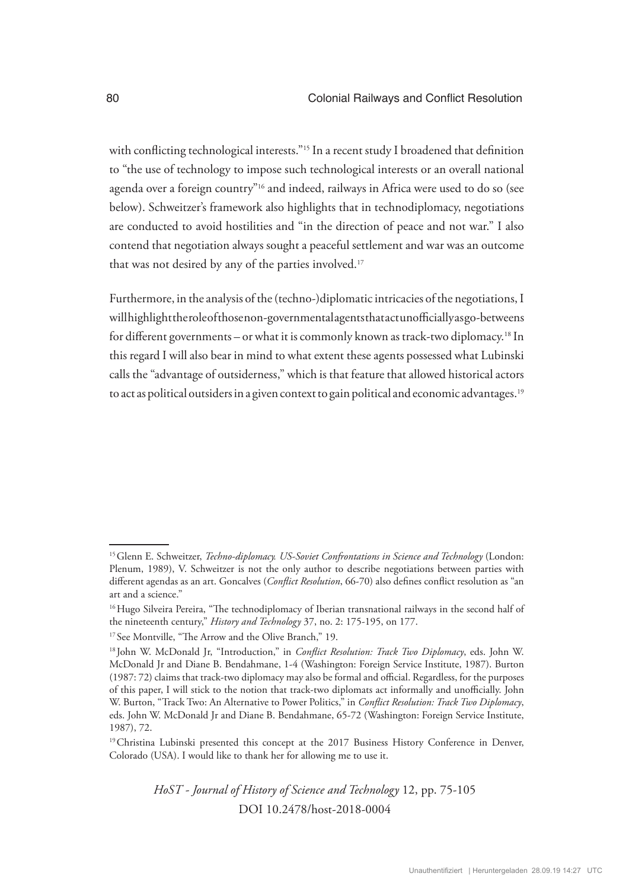with conflicting technological interests."<sup>15</sup> In a recent study I broadened that definition to "the use of technology to impose such technological interests or an overall national agenda over a foreign country"16 and indeed, railways in Africa were used to do so (see below). Schweitzer's framework also highlights that in technodiplomacy, negotiations are conducted to avoid hostilities and "in the direction of peace and not war." I also contend that negotiation always sought a peaceful settlement and war was an outcome that was not desired by any of the parties involved.<sup>17</sup>

Furthermore, in the analysis of the (techno-)diplomatic intricacies of the negotiations, I will highlight the role of those non-governmental agents that act unofficially as go-betweens for different governments – or what it is commonly known as track-two diplomacy.18 In this regard I will also bear in mind to what extent these agents possessed what Lubinski calls the "advantage of outsiderness," which is that feature that allowed historical actors to act as political outsiders in a given context to gain political and economic advantages.<sup>19</sup>

<sup>15</sup>Glenn E. Schweitzer, *Techno-diplomacy. US-Soviet Confrontations in Science and Technology* (London: Plenum, 1989), V. Schweitzer is not the only author to describe negotiations between parties with different agendas as an art. Goncalves (*Conflict Resolution*, 66-70) also defines conflict resolution as "an art and a science."

<sup>&</sup>lt;sup>16</sup> Hugo Silveira Pereira, "The technodiplomacy of Iberian transnational railways in the second half of the nineteenth century," *History and Technology* 37, no. 2: 175-195, on 177.

<sup>&</sup>lt;sup>17</sup> See Montville, "The Arrow and the Olive Branch," 19.

<sup>18</sup> John W. McDonald Jr, "Introduction," in *Conflict Resolution: Track Two Diplomacy*, eds. John W. McDonald Jr and Diane B. Bendahmane, 1-4 (Washington: Foreign Service Institute, 1987). Burton (1987: 72) claims that track-two diplomacy may also be formal and official. Regardless, for the purposes of this paper, I will stick to the notion that track-two diplomats act informally and unofficially. John W. Burton, "Track Two: An Alternative to Power Politics," in *Conflict Resolution: Track Two Diplomacy*, eds. John W. McDonald Jr and Diane B. Bendahmane, 65-72 (Washington: Foreign Service Institute, 1987), 72.

<sup>&</sup>lt;sup>19</sup>Christina Lubinski presented this concept at the 2017 Business History Conference in Denver, Colorado (USA). I would like to thank her for allowing me to use it.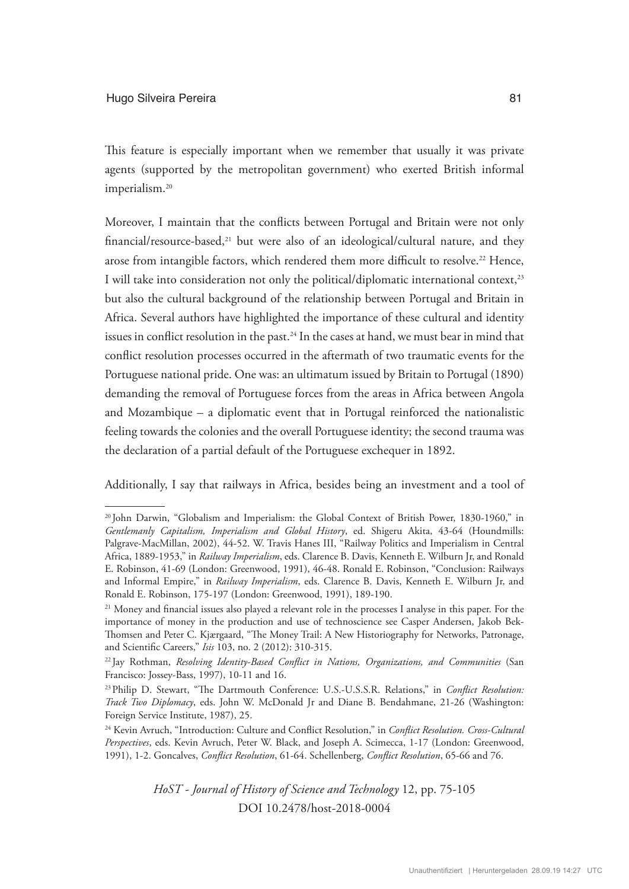This feature is especially important when we remember that usually it was private agents (supported by the metropolitan government) who exerted British informal imperialism.<sup>20</sup>

Moreover, I maintain that the conflicts between Portugal and Britain were not only financial/resource-based, $21$  but were also of an ideological/cultural nature, and they arose from intangible factors, which rendered them more difficult to resolve.<sup>22</sup> Hence, I will take into consideration not only the political/diplomatic international context,<sup>23</sup> but also the cultural background of the relationship between Portugal and Britain in Africa. Several authors have highlighted the importance of these cultural and identity issues in conflict resolution in the past.<sup>24</sup> In the cases at hand, we must bear in mind that conflict resolution processes occurred in the aftermath of two traumatic events for the Portuguese national pride. One was: an ultimatum issued by Britain to Portugal (1890) demanding the removal of Portuguese forces from the areas in Africa between Angola and Mozambique – a diplomatic event that in Portugal reinforced the nationalistic feeling towards the colonies and the overall Portuguese identity; the second trauma was the declaration of a partial default of the Portuguese exchequer in 1892.

Additionally, I say that railways in Africa, besides being an investment and a tool of

<sup>20</sup> John Darwin, "Globalism and Imperialism: the Global Context of British Power, 1830-1960," in *Gentlemanly Capitalism, Imperialism and Global History*, ed. Shigeru Akita, 43-64 (Houndmills: Palgrave-MacMillan, 2002), 44-52. W. Travis Hanes III, "Railway Politics and Imperialism in Central Africa, 1889-1953," in *Railway Imperialism*, eds. Clarence B. Davis, Kenneth E. Wilburn Jr, and Ronald E. Robinson, 41-69 (London: Greenwood, 1991), 46-48. Ronald E. Robinson, "Conclusion: Railways and Informal Empire," in *Railway Imperialism*, eds. Clarence B. Davis, Kenneth E. Wilburn Jr, and Ronald E. Robinson, 175-197 (London: Greenwood, 1991), 189-190.

<sup>&</sup>lt;sup>21</sup> Money and financial issues also played a relevant role in the processes I analyse in this paper. For the importance of money in the production and use of technoscience see Casper Andersen, Jakob Bek-Thomsen and Peter C. Kjærgaard, "The Money Trail: A New Historiography for Networks, Patronage, and Scientific Careers," *Isis* 103, no. 2 (2012): 310-315.

<sup>22</sup> Jay Rothman, *Resolving Identity-Based Conflict in Nations, Organizations, and Communities* (San Francisco: Jossey-Bass, 1997), 10-11 and 16.

<sup>23</sup>Philip D. Stewart, "The Dartmouth Conference: U.S.-U.S.S.R. Relations," in *Conflict Resolution: Track Two Diplomacy*, eds. John W. McDonald Jr and Diane B. Bendahmane, 21-26 (Washington: Foreign Service Institute, 1987), 25.

<sup>&</sup>lt;sup>24</sup> Kevin Avruch, "Introduction: Culture and Conflict Resolution," in *Conflict Resolution. Cross-Cultural Perspectives*, eds. Kevin Avruch, Peter W. Black, and Joseph A. Scimecca, 1-17 (London: Greenwood, 1991), 1-2. Goncalves, *Conflict Resolution*, 61-64. Schellenberg, *Conflict Resolution*, 65-66 and 76.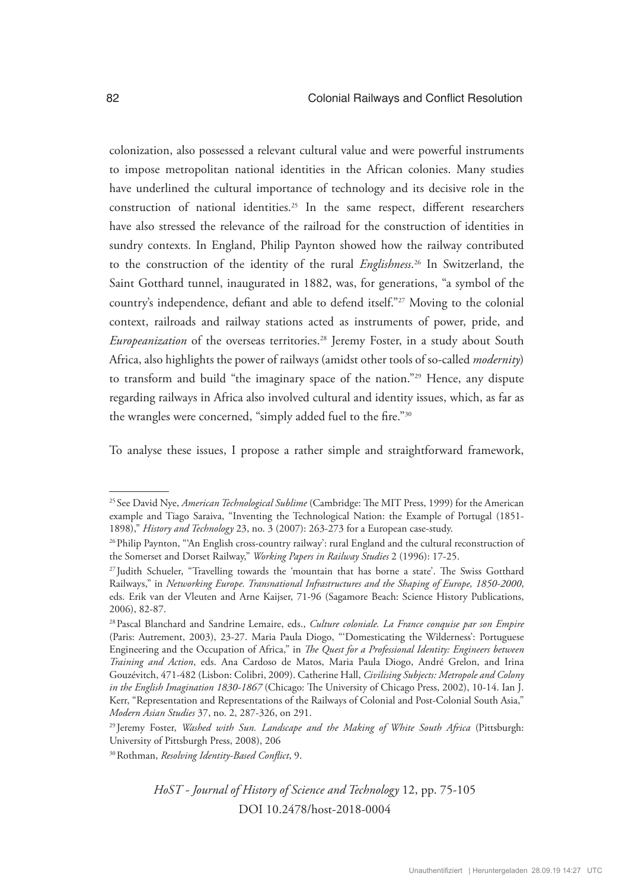colonization, also possessed a relevant cultural value and were powerful instruments to impose metropolitan national identities in the African colonies. Many studies have underlined the cultural importance of technology and its decisive role in the construction of national identities.25 In the same respect, different researchers have also stressed the relevance of the railroad for the construction of identities in sundry contexts. In England, Philip Paynton showed how the railway contributed to the construction of the identity of the rural *Englishness*. 26 In Switzerland, the Saint Gotthard tunnel, inaugurated in 1882, was, for generations, "a symbol of the country's independence, defiant and able to defend itself."27 Moving to the colonial context, railroads and railway stations acted as instruments of power, pride, and *Europeanization* of the overseas territories.<sup>28</sup> Jeremy Foster, in a study about South Africa, also highlights the power of railways (amidst other tools of so-called *modernity*) to transform and build "the imaginary space of the nation."29 Hence, any dispute regarding railways in Africa also involved cultural and identity issues, which, as far as the wrangles were concerned, "simply added fuel to the fire."30

To analyse these issues, I propose a rather simple and straightforward framework,

<sup>25</sup> See David Nye, *American Technological Sublime* (Cambridge: The MIT Press, 1999) for the American example and Tiago Saraiva, "Inventing the Technological Nation: the Example of Portugal (1851- 1898)," *History and Technology* 23, no. 3 (2007): 263-273 for a European case-study.

<sup>&</sup>lt;sup>26</sup> Philip Paynton, "An English cross-country railway': rural England and the cultural reconstruction of the Somerset and Dorset Railway," *Working Papers in Railway Studies* 2 (1996): 17-25.

<sup>27</sup> Judith Schueler, "Travelling towards the 'mountain that has borne a state'. The Swiss Gotthard Railways," in *Networking Europe. Transnational Infrastructures and the Shaping of Europe, 1850-2000*, eds. Erik van der Vleuten and Arne Kaijser, 71-96 (Sagamore Beach: Science History Publications, 2006), 82-87.

<sup>28</sup>Pascal Blanchard and Sandrine Lemaire, eds., *Culture coloniale. La France conquise par son Empire*  (Paris: Autrement, 2003), 23-27. Maria Paula Diogo, "'Domesticating the Wilderness': Portuguese Engineering and the Occupation of Africa," in *The Quest for a Professional Identity: Engineers between Training and Action*, eds. Ana Cardoso de Matos, Maria Paula Diogo, André Grelon, and Irina Gouzévitch, 471-482 (Lisbon: Colibri, 2009). Catherine Hall, *Civilising Subjects: Metropole and Colony in the English Imagination 1830-1867* (Chicago: The University of Chicago Press, 2002), 10-14. Ian J. Kerr, "Representation and Representations of the Railways of Colonial and Post-Colonial South Asia," *Modern Asian Studies* 37, no. 2, 287-326, on 291.

<sup>29</sup> Jeremy Foster, *Washed with Sun. Landscape and the Making of White South Africa* (Pittsburgh: University of Pittsburgh Press, 2008), 206

<sup>30</sup>Rothman, *Resolving Identity-Based Conflict*, 9.

*HoST - Journal of History of Science and Technology* 12, pp. 75-105 DOI 10.2478/host-2018-0004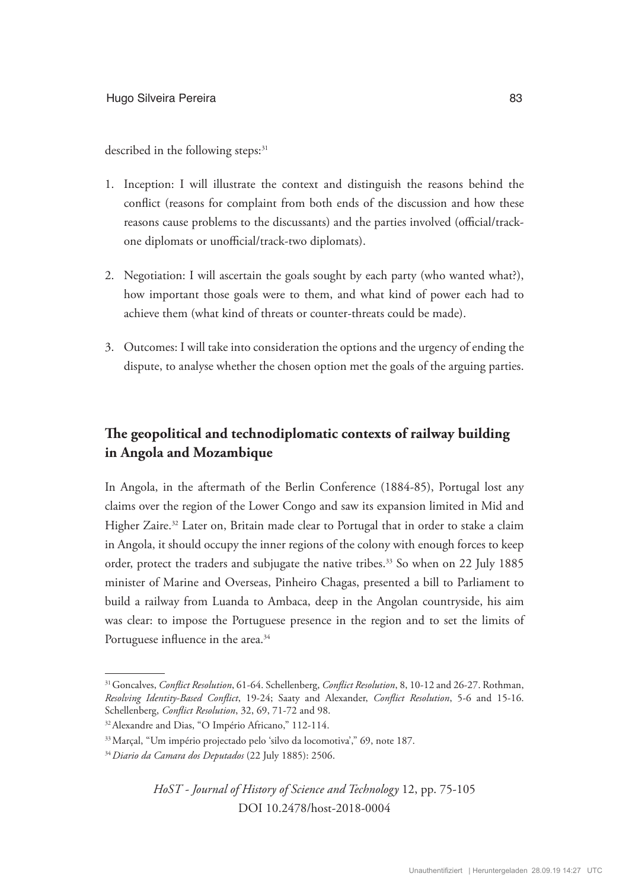described in the following steps:<sup>31</sup>

- 1. Inception: I will illustrate the context and distinguish the reasons behind the conflict (reasons for complaint from both ends of the discussion and how these reasons cause problems to the discussants) and the parties involved (official/trackone diplomats or unofficial/track-two diplomats).
- 2. Negotiation: I will ascertain the goals sought by each party (who wanted what?), how important those goals were to them, and what kind of power each had to achieve them (what kind of threats or counter-threats could be made).
- 3. Outcomes: I will take into consideration the options and the urgency of ending the dispute, to analyse whether the chosen option met the goals of the arguing parties.

# **The geopolitical and technodiplomatic contexts of railway building in Angola and Mozambique**

In Angola, in the aftermath of the Berlin Conference (1884-85), Portugal lost any claims over the region of the Lower Congo and saw its expansion limited in Mid and Higher Zaire.<sup>32</sup> Later on, Britain made clear to Portugal that in order to stake a claim in Angola, it should occupy the inner regions of the colony with enough forces to keep order, protect the traders and subjugate the native tribes.<sup>33</sup> So when on 22 July 1885 minister of Marine and Overseas, Pinheiro Chagas, presented a bill to Parliament to build a railway from Luanda to Ambaca, deep in the Angolan countryside, his aim was clear: to impose the Portuguese presence in the region and to set the limits of Portuguese influence in the area.<sup>34</sup>

<sup>31</sup>Goncalves, *Conflict Resolution*, 61-64. Schellenberg, *Conflict Resolution*, 8, 10-12 and 26-27. Rothman, *Resolving Identity-Based Conflict*, 19-24; Saaty and Alexander, *Conflict Resolution*, 5-6 and 15-16. Schellenberg, *Conflict Resolution*, 32, 69, 71-72 and 98.

<sup>32</sup>Alexandre and Dias, "O Império Africano," 112-114.

<sup>33</sup>Marçal, "Um império projectado pelo 'silvo da locomotiva'," 69, note 187.

<sup>34</sup>*Diario da Camara dos Deputados* (22 July 1885): 2506.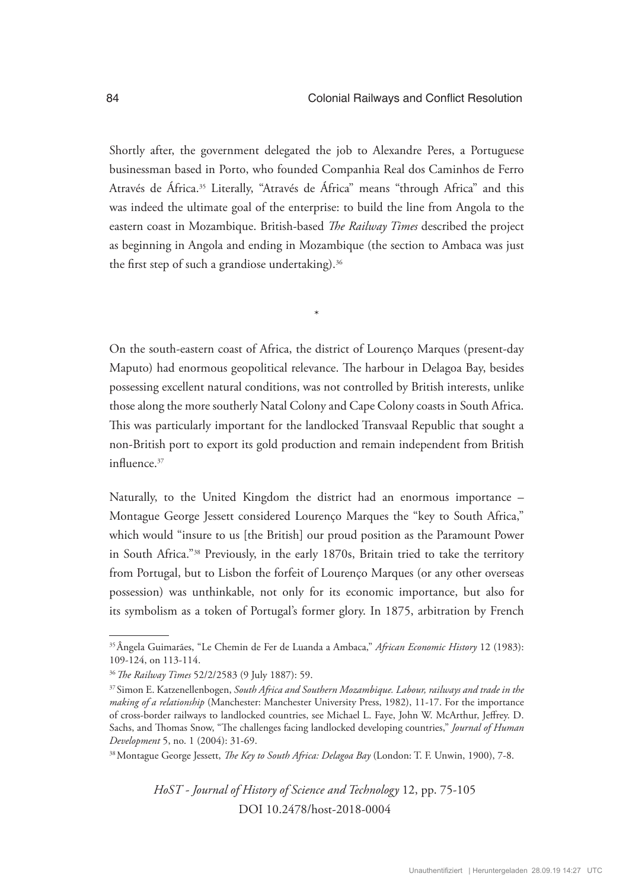Shortly after, the government delegated the job to Alexandre Peres, a Portuguese businessman based in Porto, who founded Companhia Real dos Caminhos de Ferro Através de África.<sup>35</sup> Literally, "Através de África" means "through Africa" and this was indeed the ultimate goal of the enterprise: to build the line from Angola to the eastern coast in Mozambique. British-based *The Railway Times* described the project as beginning in Angola and ending in Mozambique (the section to Ambaca was just the first step of such a grandiose undertaking).<sup>36</sup>

On the south-eastern coast of Africa, the district of Lourenço Marques (present-day Maputo) had enormous geopolitical relevance. The harbour in Delagoa Bay, besides possessing excellent natural conditions, was not controlled by British interests, unlike those along the more southerly Natal Colony and Cape Colony coasts in South Africa. This was particularly important for the landlocked Transvaal Republic that sought a non-British port to export its gold production and remain independent from British influence.<sup>37</sup>

\*

Naturally, to the United Kingdom the district had an enormous importance – Montague George Jessett considered Lourenço Marques the "key to South Africa," which would "insure to us [the British] our proud position as the Paramount Power in South Africa."38 Previously, in the early 1870s, Britain tried to take the territory from Portugal, but to Lisbon the forfeit of Lourenço Marques (or any other overseas possession) was unthinkable, not only for its economic importance, but also for its symbolism as a token of Portugal's former glory. In 1875, arbitration by French

<sup>35</sup>Ângela Guimarães, "Le Chemin de Fer de Luanda a Ambaca," *African Economic History* 12 (1983): 109-124, on 113-114.

<sup>36</sup>*The Railway Times* 52/2/2583 (9 July 1887): 59.

<sup>37</sup> Simon E. Katzenellenbogen, *South Africa and Southern Mozambique. Labour, railways and trade in the making of a relationship* (Manchester: Manchester University Press, 1982), 11-17. For the importance of cross-border railways to landlocked countries, see Michael L. Faye, John W. McArthur, Jeffrey. D. Sachs, and Thomas Snow, "The challenges facing landlocked developing countries," *Journal of Human Development* 5, no. 1 (2004): 31-69.

<sup>38</sup>Montague George Jessett, *The Key to South Africa: Delagoa Bay* (London: T. F. Unwin, 1900), 7-8.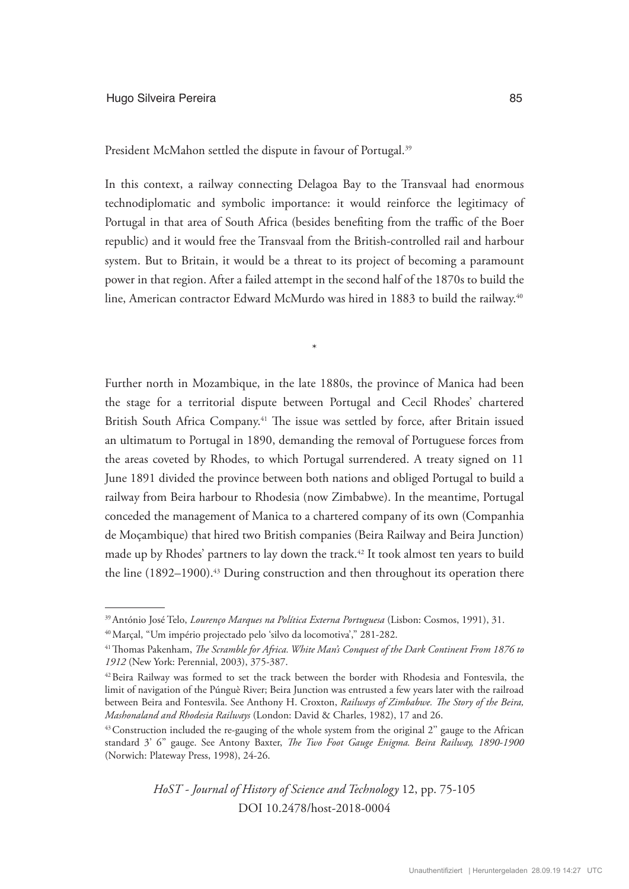#### Hugo Silveira Pereira **85**

President McMahon settled the dispute in favour of Portugal.<sup>39</sup>

In this context, a railway connecting Delagoa Bay to the Transvaal had enormous technodiplomatic and symbolic importance: it would reinforce the legitimacy of Portugal in that area of South Africa (besides benefiting from the traffic of the Boer republic) and it would free the Transvaal from the British-controlled rail and harbour system. But to Britain, it would be a threat to its project of becoming a paramount power in that region. After a failed attempt in the second half of the 1870s to build the line, American contractor Edward McMurdo was hired in 1883 to build the railway.<sup>40</sup>

\*

Further north in Mozambique, in the late 1880s, the province of Manica had been the stage for a territorial dispute between Portugal and Cecil Rhodes' chartered British South Africa Company.<sup>41</sup> The issue was settled by force, after Britain issued an ultimatum to Portugal in 1890, demanding the removal of Portuguese forces from the areas coveted by Rhodes, to which Portugal surrendered. A treaty signed on 11 June 1891 divided the province between both nations and obliged Portugal to build a railway from Beira harbour to Rhodesia (now Zimbabwe). In the meantime, Portugal conceded the management of Manica to a chartered company of its own (Companhia de Moçambique) that hired two British companies (Beira Railway and Beira Junction) made up by Rhodes' partners to lay down the track.<sup>42</sup> It took almost ten years to build the line  $(1892–1900)$ .<sup>43</sup> During construction and then throughout its operation there

<sup>39</sup>António José Telo, *Lourenço Marques na Política Externa Portuguesa* (Lisbon: Cosmos, 1991), 31.

<sup>40</sup>Marçal, "Um império projectado pelo 'silvo da locomotiva'," 281-282.

<sup>&</sup>lt;sup>41</sup> Thomas Pakenham, *The Scramble for Africa. White Man's Conquest of the Dark Continent From 1876 to 1912* (New York: Perennial, 2003), 375-387.

<sup>42</sup>Beira Railway was formed to set the track between the border with Rhodesia and Fontesvila, the limit of navigation of the Púnguè River; Beira Junction was entrusted a few years later with the railroad between Beira and Fontesvila. See Anthony H. Croxton, *Railways of Zimbabwe. The Story of the Beira, Mashonaland and Rhodesia Railways* (London: David & Charles, 1982), 17 and 26.

<sup>&</sup>lt;sup>43</sup> Construction included the re-gauging of the whole system from the original 2" gauge to the African standard 3' 6'' gauge. See Antony Baxter, *The Two Foot Gauge Enigma. Beira Railway, 1890-1900*  (Norwich: Plateway Press, 1998), 24-26.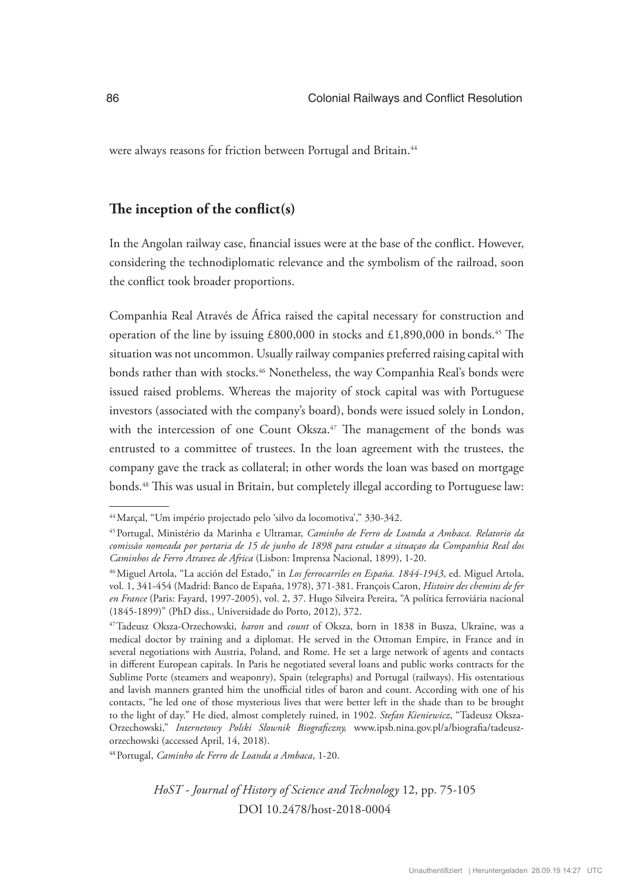were always reasons for friction between Portugal and Britain.<sup>44</sup>

## **The inception of the conflict(s)**

In the Angolan railway case, financial issues were at the base of the conflict. However, considering the technodiplomatic relevance and the symbolism of the railroad, soon the conflict took broader proportions.

Companhia Real Através de África raised the capital necessary for construction and operation of the line by issuing  $£800,000$  in stocks and  $£1,890,000$  in bonds.<sup>45</sup> The situation was not uncommon. Usually railway companies preferred raising capital with bonds rather than with stocks.<sup>46</sup> Nonetheless, the way Companhia Real's bonds were issued raised problems. Whereas the majority of stock capital was with Portuguese investors (associated with the company's board), bonds were issued solely in London, with the intercession of one Count Oksza.<sup>47</sup> The management of the bonds was entrusted to a committee of trustees. In the loan agreement with the trustees, the company gave the track as collateral; in other words the loan was based on mortgage bonds.<sup>48</sup> This was usual in Britain, but completely illegal according to Portuguese law:

48Portugal, *Caminho de Ferro de Loanda a Ambaca*, 1-20.

<sup>44</sup>Marçal, "Um império projectado pelo 'silvo da locomotiva'," 330-342.

<sup>45</sup>Portugal, Ministério da Marinha e Ultramar, *Caminho de Ferro de Loanda a Ambaca. Relatorio da comissão nomeada por portaria de 15 de junho de 1898 para estudar a situaçao da Companhia Real dos Caminhos de Ferro Atravez de Africa* (Lisbon: Imprensa Nacional, 1899), 1-20.

<sup>46</sup>Miguel Artola, "La acción del Estado," in *Los ferrocarriles en España. 1844-1943*, ed. Miguel Artola, vol. 1, 341-454 (Madrid: Banco de España, 1978), 371-381. François Caron, *Histoire des chemins de fer en France* (Paris: Fayard, 1997-2005), vol. 2, 37. Hugo Silveira Pereira, "A política ferroviária nacional (1845-1899)" (PhD diss., Universidade do Porto, 2012), 372.

<sup>47</sup>Tadeusz Oksza-Orzechowski, *baron* and *count* of Oksza, born in 1838 in Busza, Ukraine, was a medical doctor by training and a diplomat. He served in the Ottoman Empire, in France and in several negotiations with Austria, Poland, and Rome. He set a large network of agents and contacts in different European capitals. In Paris he negotiated several loans and public works contracts for the Sublime Porte (steamers and weaponry), Spain (telegraphs) and Portugal (railways). His ostentatious and lavish manners granted him the unofficial titles of baron and count. According with one of his contacts, "he led one of those mysterious lives that were better left in the shade than to be brought to the light of day." He died, almost completely ruined, in 1902. *Stefan Kieniewicz*, "Tadeusz Oksza-Orzechowski," *Internetowy Polski Słownik Biograficzny,* www.ipsb.nina.gov.pl/a/biografia/tadeuszorzechowski (accessed April, 14, 2018).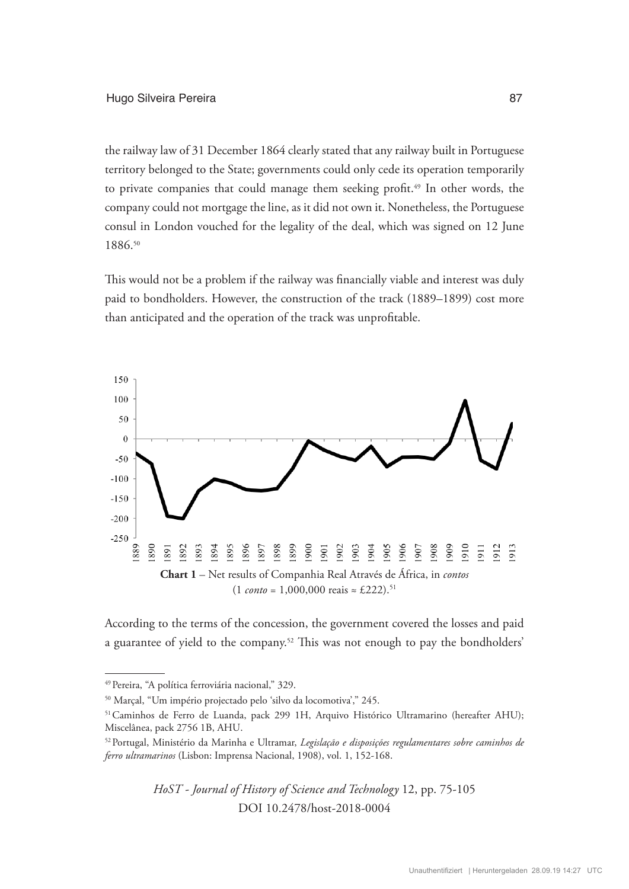the railway law of 31 December 1864 clearly stated that any railway built in Portuguese territory belonged to the State; governments could only cede its operation temporarily to private companies that could manage them seeking profit.<sup>49</sup> In other words, the company could not mortgage the line, as it did not own it. Nonetheless, the Portuguese consul in London vouched for the legality of the deal, which was signed on 12 June 1886.50

This would not be a problem if the railway was financially viable and interest was duly paid to bondholders. However, the construction of the track (1889–1899) cost more than anticipated and the operation of the track was unprofitable.



According to the terms of the concession, the government covered the losses and paid a guarantee of yield to the company.<sup>52</sup> This was not enough to pay the bondholders'

<sup>&</sup>lt;sup>49</sup> Pereira, "A política ferroviária nacional," 329.

<sup>50</sup> Marçal, "Um império projectado pelo 'silvo da locomotiva'," 245.

<sup>&</sup>lt;sup>51</sup> Caminhos de Ferro de Luanda, pack 299 1H, Arquivo Histórico Ultramarino (hereafter AHU); Miscelânea, pack 2756 1B, AHU.

<sup>52</sup>Portugal, Ministério da Marinha e Ultramar, *Legislação e disposições regulamentares sobre caminhos de ferro ultramarinos* (Lisbon: Imprensa Nacional, 1908), vol. 1, 152-168.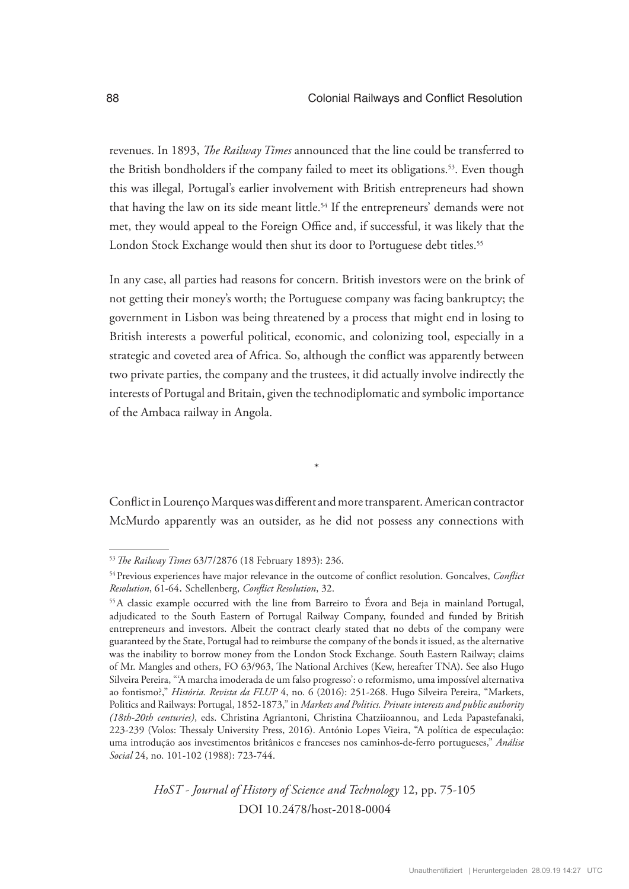revenues. In 1893, *The Railway Times* announced that the line could be transferred to the British bondholders if the company failed to meet its obligations.<sup>53</sup>. Even though this was illegal, Portugal's earlier involvement with British entrepreneurs had shown that having the law on its side meant little.<sup>54</sup> If the entrepreneurs' demands were not met, they would appeal to the Foreign Office and, if successful, it was likely that the London Stock Exchange would then shut its door to Portuguese debt titles.<sup>55</sup>

In any case, all parties had reasons for concern. British investors were on the brink of not getting their money's worth; the Portuguese company was facing bankruptcy; the government in Lisbon was being threatened by a process that might end in losing to British interests a powerful political, economic, and colonizing tool, especially in a strategic and coveted area of Africa. So, although the conflict was apparently between two private parties, the company and the trustees, it did actually involve indirectly the interests of Portugal and Britain, given the technodiplomatic and symbolic importance of the Ambaca railway in Angola.

Conflict in Lourenço Marques was different and more transparent. American contractor McMurdo apparently was an outsider, as he did not possess any connections with

\*

<sup>53</sup>*The Railway Times* 63/7/2876 (18 February 1893): 236.

<sup>54</sup>Previous experiences have major relevance in the outcome of conflict resolution. Goncalves, *Conflict Resolution*, 61-64. Schellenberg, *Conflict Resolution*, 32.

<sup>55</sup>A classic example occurred with the line from Barreiro to Évora and Beja in mainland Portugal, adjudicated to the South Eastern of Portugal Railway Company, founded and funded by British entrepreneurs and investors. Albeit the contract clearly stated that no debts of the company were guaranteed by the State, Portugal had to reimburse the company of the bonds it issued, as the alternative was the inability to borrow money from the London Stock Exchange. South Eastern Railway; claims of Mr. Mangles and others, FO 63/963, The National Archives (Kew, hereafter TNA). See also Hugo Silveira Pereira, "'A marcha imoderada de um falso progresso': o reformismo, uma impossível alternativa ao fontismo?," *História. Revista da FLUP* 4, no. 6 (2016): 251-268. Hugo Silveira Pereira, "Markets, Politics and Railways: Portugal, 1852-1873," in *Markets and Politics. Private interests and public authority (18th-20th centuries)*, eds. Christina Agriantoni, Christina Chatziioannou, and Leda Papastefanaki, 223-239 (Volos: Thessaly University Press, 2016). António Lopes Vieira, "A política de especulação: uma introdução aos investimentos britânicos e franceses nos caminhos-de-ferro portugueses," *Análise Social* 24, no. 101-102 (1988): 723-744.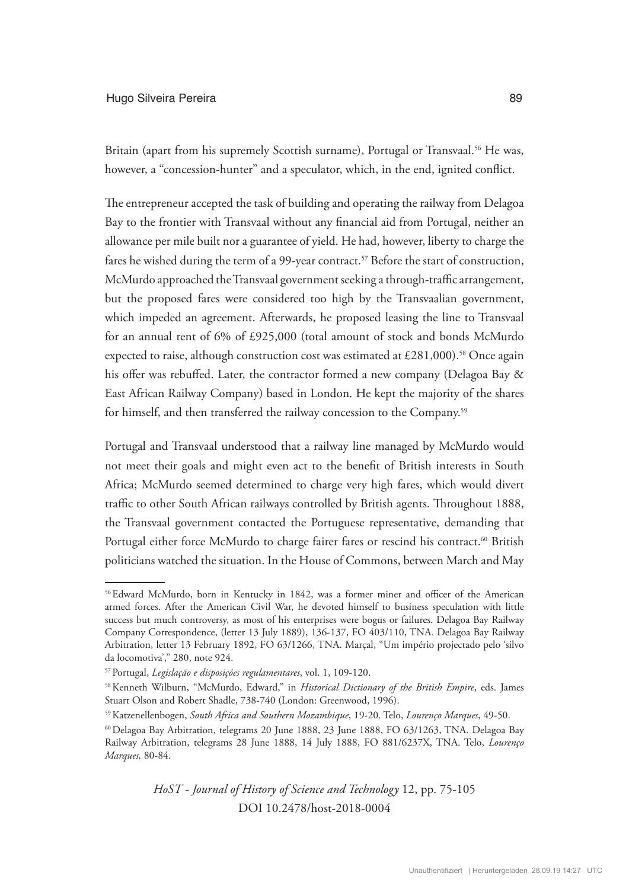#### Hugo Silveira Pereira **89**

Britain (apart from his supremely Scottish surname), Portugal or Transvaal.<sup>56</sup> He was, however, a "concession-hunter" and a speculator, which, in the end, ignited conflict.

The entrepreneur accepted the task of building and operating the railway from Delagoa Bay to the frontier with Transvaal without any financial aid from Portugal, neither an allowance per mile built nor a guarantee of yield. He had, however, liberty to charge the fares he wished during the term of a 99-year contract.<sup>57</sup> Before the start of construction, McMurdo approached the Transvaal government seeking a through-traffic arrangement, but the proposed fares were considered too high by the Transvaalian government, which impeded an agreement. Afterwards, he proposed leasing the line to Transvaal for an annual rent of 6% of £925,000 (total amount of stock and bonds McMurdo expected to raise, although construction cost was estimated at  $£281,000$ .<sup>58</sup> Once again his offer was rebuffed. Later, the contractor formed a new company (Delagoa Bay & East African Railway Company) based in London. He kept the majority of the shares for himself, and then transferred the railway concession to the Company.<sup>59</sup>

Portugal and Transvaal understood that a railway line managed by McMurdo would not meet their goals and might even act to the benefit of British interests in South Africa; McMurdo seemed determined to charge very high fares, which would divert traffic to other South African railways controlled by British agents. Throughout 1888, the Transvaal government contacted the Portuguese representative, demanding that Portugal either force McMurdo to charge fairer fares or rescind his contract.<sup>60</sup> British politicians watched the situation. In the House of Commons, between March and May

<sup>56</sup>Edward McMurdo, born in Kentucky in 1842, was a former miner and officer of the American armed forces. After the American Civil War, he devoted himself to business speculation with little success but much controversy, as most of his enterprises were bogus or failures. Delagoa Bay Railway Company Correspondence, (letter 13 July 1889), 136-137, FO 403/110, TNA. Delagoa Bay Railway Arbitration, letter 13 February 1892, FO 63/1266, TNA. Marçal, "Um império projectado pelo 'silvo da locomotiva'," 280, note 924.

<sup>57</sup>Portugal, *Legislação e disposições regulamentares*, vol. 1, 109-120.

<sup>58</sup>Kenneth Wilburn, "McMurdo, Edward," in *Historical Dictionary of the British Empire*, eds. James Stuart Olson and Robert Shadle, 738-740 (London: Greenwood, 1996).

<sup>59</sup>Katzenellenbogen, *South Africa and Southern Mozambique*, 19-20. Telo, *Lourenço Marques*, 49-50.

<sup>60</sup>Delagoa Bay Arbitration, telegrams 20 June 1888, 23 June 1888, FO 63/1263, TNA. Delagoa Bay Railway Arbitration, telegrams 28 June 1888, 14 July 1888, FO 881/6237X, TNA. Telo, *Lourenço Marques,* 80-84.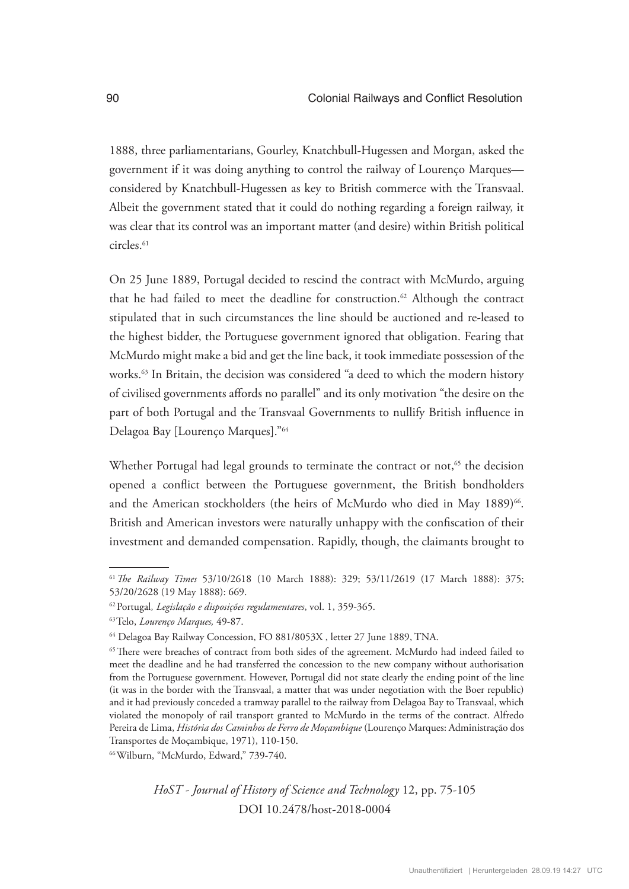1888, three parliamentarians, Gourley, Knatchbull-Hugessen and Morgan, asked the government if it was doing anything to control the railway of Lourenço Marques considered by Knatchbull-Hugessen as key to British commerce with the Transvaal. Albeit the government stated that it could do nothing regarding a foreign railway, it was clear that its control was an important matter (and desire) within British political circles.<sup>61</sup>

On 25 June 1889, Portugal decided to rescind the contract with McMurdo, arguing that he had failed to meet the deadline for construction.62 Although the contract stipulated that in such circumstances the line should be auctioned and re-leased to the highest bidder, the Portuguese government ignored that obligation. Fearing that McMurdo might make a bid and get the line back, it took immediate possession of the works.<sup>63</sup> In Britain, the decision was considered "a deed to which the modern history of civilised governments affords no parallel" and its only motivation "the desire on the part of both Portugal and the Transvaal Governments to nullify British influence in Delagoa Bay [Lourenço Marques]."64

Whether Portugal had legal grounds to terminate the contract or not,<sup>65</sup> the decision opened a conflict between the Portuguese government, the British bondholders and the American stockholders (the heirs of McMurdo who died in May 1889)<sup>66</sup>. British and American investors were naturally unhappy with the confiscation of their investment and demanded compensation. Rapidly, though, the claimants brought to

66Wilburn, "McMurdo, Edward," 739-740.

<sup>61</sup>*The Railway Times* 53/10/2618 (10 March 1888): 329; 53/11/2619 (17 March 1888): 375; 53/20/2628 (19 May 1888): 669.

<sup>62</sup>Portugal*, Legislação e disposições regulamentares*, vol. 1, 359-365.

<sup>63</sup>Telo, *Lourenço Marques,* 49-87.

<sup>64</sup> Delagoa Bay Railway Concession, FO 881/8053X , letter 27 June 1889, TNA.

<sup>&</sup>lt;sup>65</sup>There were breaches of contract from both sides of the agreement. McMurdo had indeed failed to meet the deadline and he had transferred the concession to the new company without authorisation from the Portuguese government. However, Portugal did not state clearly the ending point of the line (it was in the border with the Transvaal, a matter that was under negotiation with the Boer republic) and it had previously conceded a tramway parallel to the railway from Delagoa Bay to Transvaal, which violated the monopoly of rail transport granted to McMurdo in the terms of the contract. Alfredo Pereira de Lima, *História dos Caminhos de Ferro de Moçambique* (Lourenço Marques: Administração dos Transportes de Moçambique, 1971), 110-150.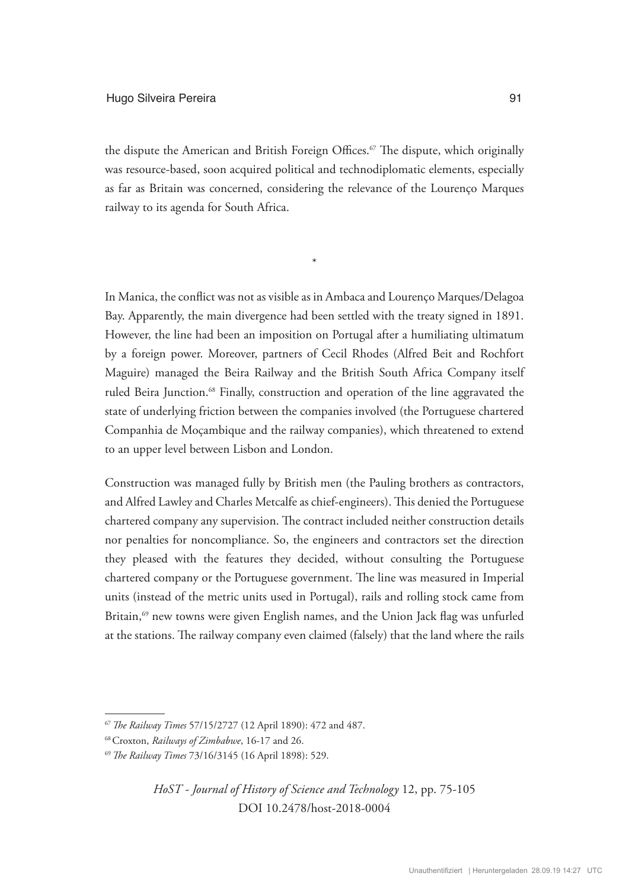the dispute the American and British Foreign Offices.<sup>67</sup> The dispute, which originally was resource-based, soon acquired political and technodiplomatic elements, especially as far as Britain was concerned, considering the relevance of the Lourenço Marques railway to its agenda for South Africa.

\*

In Manica, the conflict was not as visible as in Ambaca and Lourenço Marques/Delagoa Bay. Apparently, the main divergence had been settled with the treaty signed in 1891. However, the line had been an imposition on Portugal after a humiliating ultimatum by a foreign power. Moreover, partners of Cecil Rhodes (Alfred Beit and Rochfort Maguire) managed the Beira Railway and the British South Africa Company itself ruled Beira Junction.<sup>68</sup> Finally, construction and operation of the line aggravated the state of underlying friction between the companies involved (the Portuguese chartered Companhia de Moçambique and the railway companies), which threatened to extend to an upper level between Lisbon and London.

Construction was managed fully by British men (the Pauling brothers as contractors, and Alfred Lawley and Charles Metcalfe as chief-engineers). This denied the Portuguese chartered company any supervision. The contract included neither construction details nor penalties for noncompliance. So, the engineers and contractors set the direction they pleased with the features they decided, without consulting the Portuguese chartered company or the Portuguese government. The line was measured in Imperial units (instead of the metric units used in Portugal), rails and rolling stock came from Britain,<sup>69</sup> new towns were given English names, and the Union Jack flag was unfurled at the stations. The railway company even claimed (falsely) that the land where the rails

<sup>67</sup>*The Railway Times* 57/15/2727 (12 April 1890): 472 and 487.

<sup>68</sup>Croxton, *Railways of Zimbabwe*, 16-17 and 26.

<sup>69</sup>*The Railway Times* 73/16/3145 (16 April 1898): 529.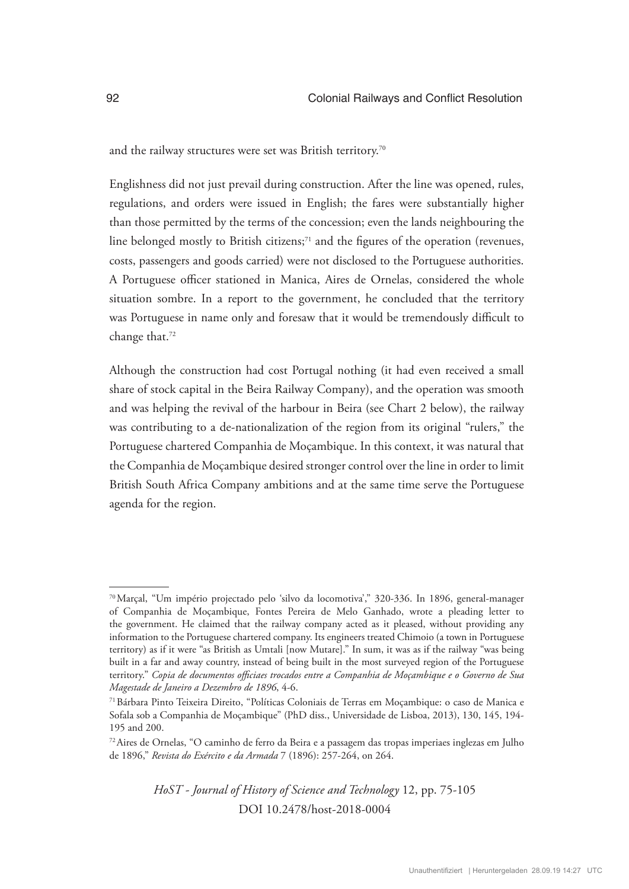and the railway structures were set was British territory.<sup>70</sup>

Englishness did not just prevail during construction. After the line was opened, rules, regulations, and orders were issued in English; the fares were substantially higher than those permitted by the terms of the concession; even the lands neighbouring the line belonged mostly to British citizens; $71$  and the figures of the operation (revenues, costs, passengers and goods carried) were not disclosed to the Portuguese authorities. A Portuguese officer stationed in Manica, Aires de Ornelas, considered the whole situation sombre. In a report to the government, he concluded that the territory was Portuguese in name only and foresaw that it would be tremendously difficult to change that.<sup>72</sup>

Although the construction had cost Portugal nothing (it had even received a small share of stock capital in the Beira Railway Company), and the operation was smooth and was helping the revival of the harbour in Beira (see Chart 2 below), the railway was contributing to a de-nationalization of the region from its original "rulers," the Portuguese chartered Companhia de Moçambique. In this context, it was natural that the Companhia de Moçambique desired stronger control over the line in order to limit British South Africa Company ambitions and at the same time serve the Portuguese agenda for the region.

<sup>70</sup>Marçal, "Um império projectado pelo 'silvo da locomotiva'," 320-336. In 1896, general-manager of Companhia de Moçambique, Fontes Pereira de Melo Ganhado, wrote a pleading letter to the government. He claimed that the railway company acted as it pleased, without providing any information to the Portuguese chartered company. Its engineers treated Chimoio (a town in Portuguese territory) as if it were "as British as Umtali [now Mutare]." In sum, it was as if the railway "was being built in a far and away country, instead of being built in the most surveyed region of the Portuguese territory." *Copia de documentos officiaes trocados entre a Companhia de Moçambique e o Governo de Sua Magestade de Janeiro a Dezembro de 1896*, 4-6.

<sup>71</sup>Bárbara Pinto Teixeira Direito, "Políticas Coloniais de Terras em Moçambique: o caso de Manica e Sofala sob a Companhia de Moçambique" (PhD diss., Universidade de Lisboa, 2013), 130, 145, 194- 195 and 200.

<sup>72</sup>Aires de Ornelas, "O caminho de ferro da Beira e a passagem das tropas imperiaes inglezas em Julho de 1896," *Revista do Exército e da Armada* 7 (1896): 257-264, on 264.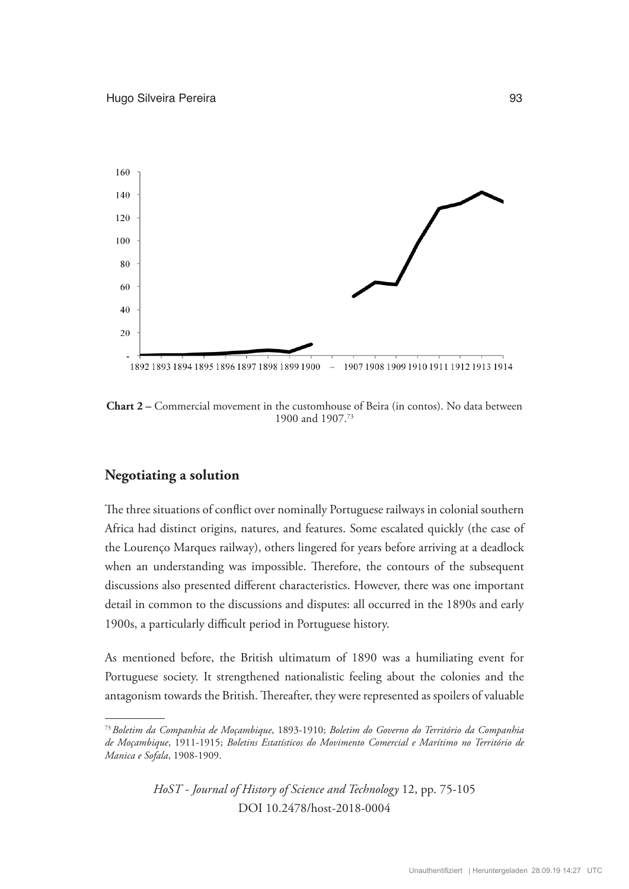

**Chart 2 –** Commercial movement in the customhouse of Beira (in contos). No data between 1900 and 1907.73

## **Negotiating a solution**

The three situations of conflict over nominally Portuguese railways in colonial southern Africa had distinct origins, natures, and features. Some escalated quickly (the case of the Lourenço Marques railway), others lingered for years before arriving at a deadlock when an understanding was impossible. Therefore, the contours of the subsequent discussions also presented different characteristics. However, there was one important detail in common to the discussions and disputes: all occurred in the 1890s and early 1900s, a particularly difficult period in Portuguese history.

As mentioned before, the British ultimatum of 1890 was a humiliating event for Portuguese society. It strengthened nationalistic feeling about the colonies and the antagonism towards the British. Thereafter, they were represented as spoilers of valuable

<sup>73</sup>*Boletim da Companhia de Moçambique*, 1893-1910; *Boletim do Governo do Território da Companhia de Moçambique*, 1911-1915; *Boletins Estatísticos do Movimento Comercial e Marítimo no Território de Manica e Sofala*, 1908-1909.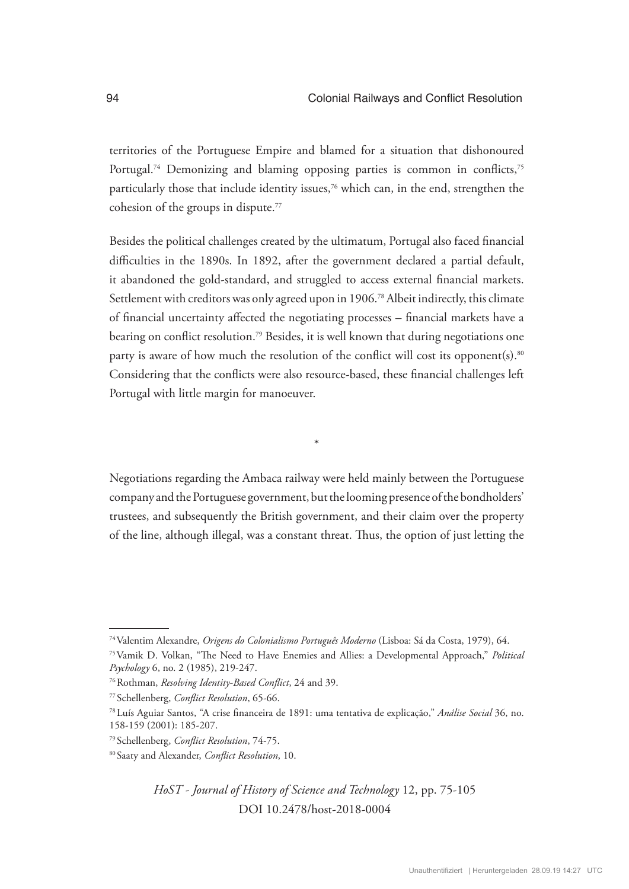territories of the Portuguese Empire and blamed for a situation that dishonoured Portugal.<sup>74</sup> Demonizing and blaming opposing parties is common in conflicts,<sup>75</sup> particularly those that include identity issues,<sup>76</sup> which can, in the end, strengthen the cohesion of the groups in dispute.77

Besides the political challenges created by the ultimatum, Portugal also faced financial difficulties in the 1890s. In 1892, after the government declared a partial default, it abandoned the gold-standard, and struggled to access external financial markets. Settlement with creditors was only agreed upon in 1906.<sup>78</sup> Albeit indirectly, this climate of financial uncertainty affected the negotiating processes – financial markets have a bearing on conflict resolution.<sup>79</sup> Besides, it is well known that during negotiations one party is aware of how much the resolution of the conflict will cost its opponent(s). $80$ Considering that the conflicts were also resource-based, these financial challenges left Portugal with little margin for manoeuver.

Negotiations regarding the Ambaca railway were held mainly between the Portuguese company and the Portuguese government, but the looming presence of the bondholders' trustees, and subsequently the British government, and their claim over the property of the line, although illegal, was a constant threat. Thus, the option of just letting the

\*

<sup>74</sup>Valentim Alexandre, *Origens do Colonialismo Português Moderno* (Lisboa: Sá da Costa, 1979), 64.

<sup>75</sup>Vamik D. Volkan, "The Need to Have Enemies and Allies: a Developmental Approach," *Political Psychology* 6, no. 2 (1985), 219-247.

<sup>76</sup>Rothman, *Resolving Identity-Based Conflict*, 24 and 39.

<sup>77</sup> Schellenberg, *Conflict Resolution*, 65-66.

<sup>78</sup>Luís Aguiar Santos, "A crise financeira de 1891: uma tentativa de explicação," *Análise Social* 36, no. 158-159 (2001): 185-207.

<sup>79</sup> Schellenberg, *Conflict Resolution*, 74-75.

<sup>80</sup> Saaty and Alexander, *Conflict Resolution*, 10.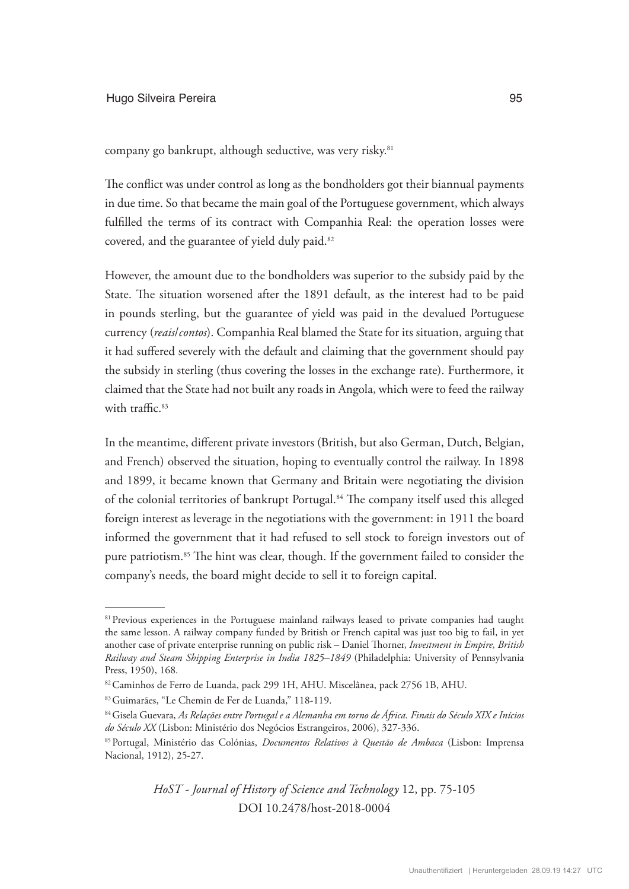company go bankrupt, although seductive, was very risky.81

The conflict was under control as long as the bondholders got their biannual payments in due time. So that became the main goal of the Portuguese government, which always fulfilled the terms of its contract with Companhia Real: the operation losses were covered, and the guarantee of yield duly paid.<sup>82</sup>

However, the amount due to the bondholders was superior to the subsidy paid by the State. The situation worsened after the 1891 default, as the interest had to be paid in pounds sterling, but the guarantee of yield was paid in the devalued Portuguese currency (*reais*/*contos*). Companhia Real blamed the State for its situation, arguing that it had suffered severely with the default and claiming that the government should pay the subsidy in sterling (thus covering the losses in the exchange rate). Furthermore, it claimed that the State had not built any roads in Angola, which were to feed the railway with traffic.<sup>83</sup>

In the meantime, different private investors (British, but also German, Dutch, Belgian, and French) observed the situation, hoping to eventually control the railway. In 1898 and 1899, it became known that Germany and Britain were negotiating the division of the colonial territories of bankrupt Portugal.84 The company itself used this alleged foreign interest as leverage in the negotiations with the government: in 1911 the board informed the government that it had refused to sell stock to foreign investors out of pure patriotism.<sup>85</sup> The hint was clear, though. If the government failed to consider the company's needs, the board might decide to sell it to foreign capital.

<sup>&</sup>lt;sup>81</sup> Previous experiences in the Portuguese mainland railways leased to private companies had taught the same lesson. A railway company funded by British or French capital was just too big to fail, in yet another case of private enterprise running on public risk – Daniel Thorner, *Investment in Empire, British Railway and Steam Shipping Enterprise in India 1825–1849* (Philadelphia: University of Pennsylvania Press, 1950), 168.

<sup>82</sup>Caminhos de Ferro de Luanda, pack 299 1H, AHU. Miscelânea, pack 2756 1B, AHU.

<sup>83</sup>Guimarães, "Le Chemin de Fer de Luanda," 118-119.

<sup>84</sup>Gisela Guevara, *As Relações entre Portugal e a Alemanha em torno de África. Finais do Século XIX e Inícios do Século XX* (Lisbon: Ministério dos Negócios Estrangeiros, 2006), 327-336.

<sup>85</sup>Portugal, Ministério das Colónias, *Documentos Relativos à Questão de Ambaca* (Lisbon: Imprensa Nacional, 1912), 25-27.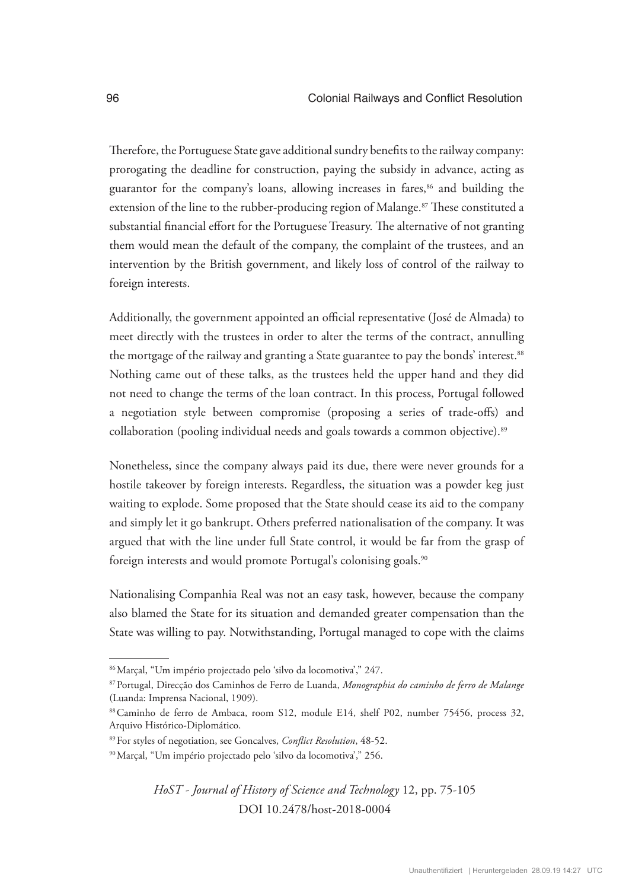Therefore, the Portuguese State gave additional sundry benefits to the railway company: prorogating the deadline for construction, paying the subsidy in advance, acting as guarantor for the company's loans, allowing increases in fares,<sup>86</sup> and building the extension of the line to the rubber-producing region of Malange.<sup>87</sup> These constituted a substantial financial effort for the Portuguese Treasury. The alternative of not granting them would mean the default of the company, the complaint of the trustees, and an intervention by the British government, and likely loss of control of the railway to foreign interests.

Additionally, the government appointed an official representative (José de Almada) to meet directly with the trustees in order to alter the terms of the contract, annulling the mortgage of the railway and granting a State guarantee to pay the bonds' interest.<sup>88</sup> Nothing came out of these talks, as the trustees held the upper hand and they did not need to change the terms of the loan contract. In this process, Portugal followed a negotiation style between compromise (proposing a series of trade-offs) and collaboration (pooling individual needs and goals towards a common objective).89

Nonetheless, since the company always paid its due, there were never grounds for a hostile takeover by foreign interests. Regardless, the situation was a powder keg just waiting to explode. Some proposed that the State should cease its aid to the company and simply let it go bankrupt. Others preferred nationalisation of the company. It was argued that with the line under full State control, it would be far from the grasp of foreign interests and would promote Portugal's colonising goals.<sup>90</sup>

Nationalising Companhia Real was not an easy task, however, because the company also blamed the State for its situation and demanded greater compensation than the State was willing to pay. Notwithstanding, Portugal managed to cope with the claims

<sup>86</sup>Marçal, "Um império projectado pelo 'silvo da locomotiva'," 247.

<sup>87</sup>Portugal, Direcção dos Caminhos de Ferro de Luanda, *Monographia do caminho de ferro de Malange*  (Luanda: Imprensa Nacional, 1909).

<sup>88</sup> Caminho de ferro de Ambaca, room S12, module E14, shelf P02, number 75456, process 32, Arquivo Histórico-Diplomático.

<sup>89</sup>For styles of negotiation, see Goncalves, *Conflict Resolution*, 48-52.

<sup>90</sup>Marçal, "Um império projectado pelo 'silvo da locomotiva'," 256.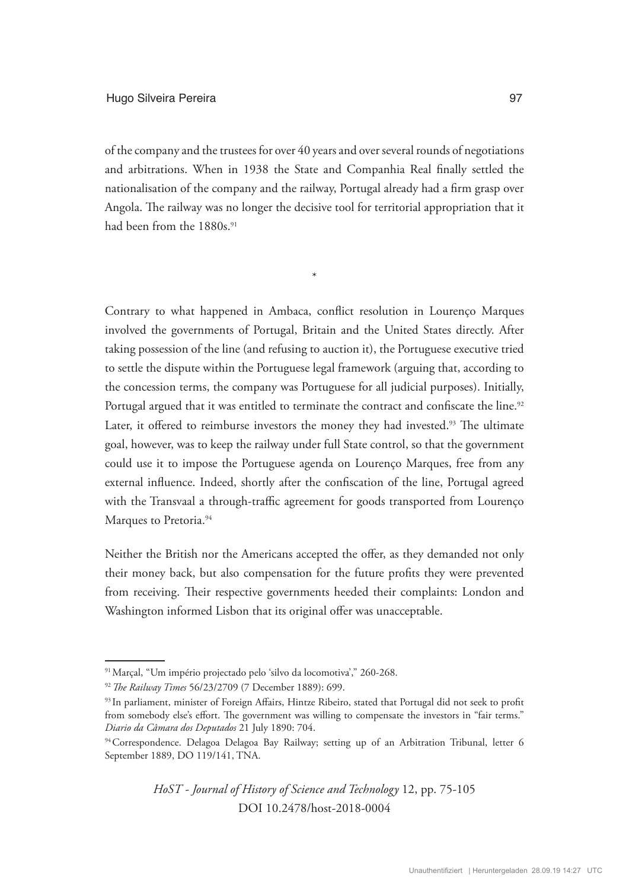of the company and the trustees for over 40 years and over several rounds of negotiations and arbitrations. When in 1938 the State and Companhia Real finally settled the nationalisation of the company and the railway, Portugal already had a firm grasp over Angola. The railway was no longer the decisive tool for territorial appropriation that it had been from the 1880s.<sup>91</sup>

\*

Contrary to what happened in Ambaca, conflict resolution in Lourenço Marques involved the governments of Portugal, Britain and the United States directly. After taking possession of the line (and refusing to auction it), the Portuguese executive tried to settle the dispute within the Portuguese legal framework (arguing that, according to the concession terms, the company was Portuguese for all judicial purposes). Initially, Portugal argued that it was entitled to terminate the contract and confiscate the line.<sup>92</sup> Later, it offered to reimburse investors the money they had invested.<sup>93</sup> The ultimate goal, however, was to keep the railway under full State control, so that the government could use it to impose the Portuguese agenda on Lourenço Marques, free from any external influence. Indeed, shortly after the confiscation of the line, Portugal agreed with the Transvaal a through-traffic agreement for goods transported from Lourenço Marques to Pretoria.<sup>94</sup>

Neither the British nor the Americans accepted the offer, as they demanded not only their money back, but also compensation for the future profits they were prevented from receiving. Their respective governments heeded their complaints: London and Washington informed Lisbon that its original offer was unacceptable.

<sup>91</sup>Marçal, "Um império projectado pelo 'silvo da locomotiva'," 260-268.

<sup>92</sup>*The Railway Times* 56/23/2709 (7 December 1889): 699.

<sup>93</sup> In parliament, minister of Foreign Affairs, Hintze Ribeiro, stated that Portugal did not seek to profit from somebody else's effort. The government was willing to compensate the investors in "fair terms." *Diario da Câmara dos Deputados* 21 July 1890: 704.

<sup>94</sup> Correspondence. Delagoa Delagoa Bay Railway; setting up of an Arbitration Tribunal, letter 6 September 1889, DO 119/141, TNA.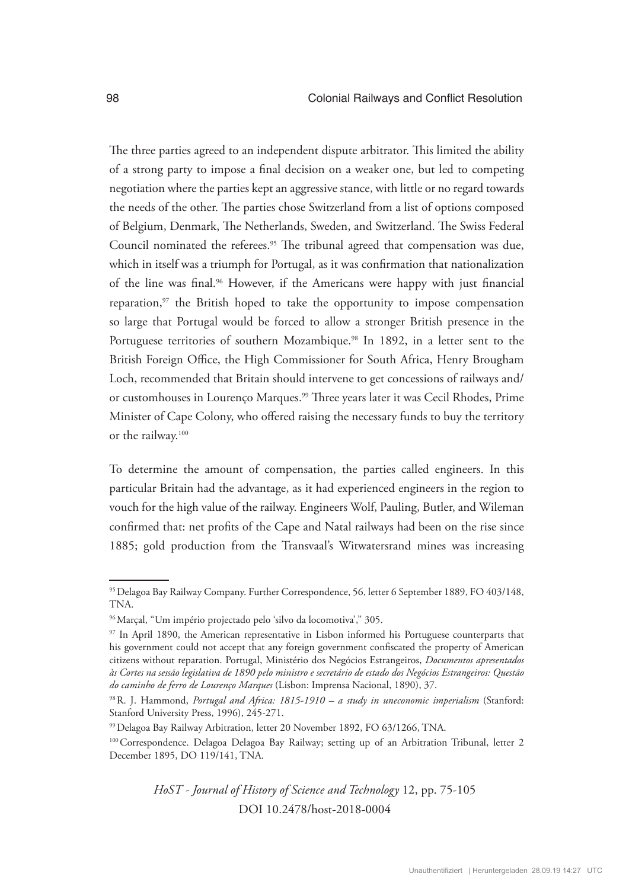The three parties agreed to an independent dispute arbitrator. This limited the ability of a strong party to impose a final decision on a weaker one, but led to competing negotiation where the parties kept an aggressive stance, with little or no regard towards the needs of the other. The parties chose Switzerland from a list of options composed of Belgium, Denmark, The Netherlands, Sweden, and Switzerland. The Swiss Federal Council nominated the referees.<sup>95</sup> The tribunal agreed that compensation was due, which in itself was a triumph for Portugal, as it was confirmation that nationalization of the line was final.<sup>96</sup> However, if the Americans were happy with just financial reparation,<sup>97</sup> the British hoped to take the opportunity to impose compensation so large that Portugal would be forced to allow a stronger British presence in the Portuguese territories of southern Mozambique.<sup>98</sup> In 1892, in a letter sent to the British Foreign Office, the High Commissioner for South Africa, Henry Brougham Loch, recommended that Britain should intervene to get concessions of railways and/ or customhouses in Lourenço Marques.99 Three years later it was Cecil Rhodes, Prime Minister of Cape Colony, who offered raising the necessary funds to buy the territory or the railway.100

To determine the amount of compensation, the parties called engineers. In this particular Britain had the advantage, as it had experienced engineers in the region to vouch for the high value of the railway. Engineers Wolf, Pauling, Butler, and Wileman confirmed that: net profits of the Cape and Natal railways had been on the rise since 1885; gold production from the Transvaal's Witwatersrand mines was increasing

<sup>95</sup>Delagoa Bay Railway Company. Further Correspondence, 56, letter 6 September 1889, FO 403/148, TNA.

<sup>96</sup>Marçal, "Um império projectado pelo 'silvo da locomotiva'," 305.

<sup>&</sup>lt;sup>97</sup> In April 1890, the American representative in Lisbon informed his Portuguese counterparts that his government could not accept that any foreign government confiscated the property of American citizens without reparation. Portugal, Ministério dos Negócios Estrangeiros, *Documentos apresentados às Cortes na sessão legislativa de 1890 pelo ministro e secretário de estado dos Negócios Estrangeiros: Questão do caminho de ferro de Lourenço Marques* (Lisbon: Imprensa Nacional, 1890), 37.

<sup>98</sup>R. J. Hammond, *Portugal and Africa: 1815-1910 – a study in uneconomic imperialism* (Stanford: Stanford University Press, 1996), 245-271.

<sup>99</sup>Delagoa Bay Railway Arbitration, letter 20 November 1892, FO 63/1266, TNA.

<sup>&</sup>lt;sup>100</sup> Correspondence. Delagoa Delagoa Bay Railway; setting up of an Arbitration Tribunal, letter 2 December 1895, DO 119/141, TNA.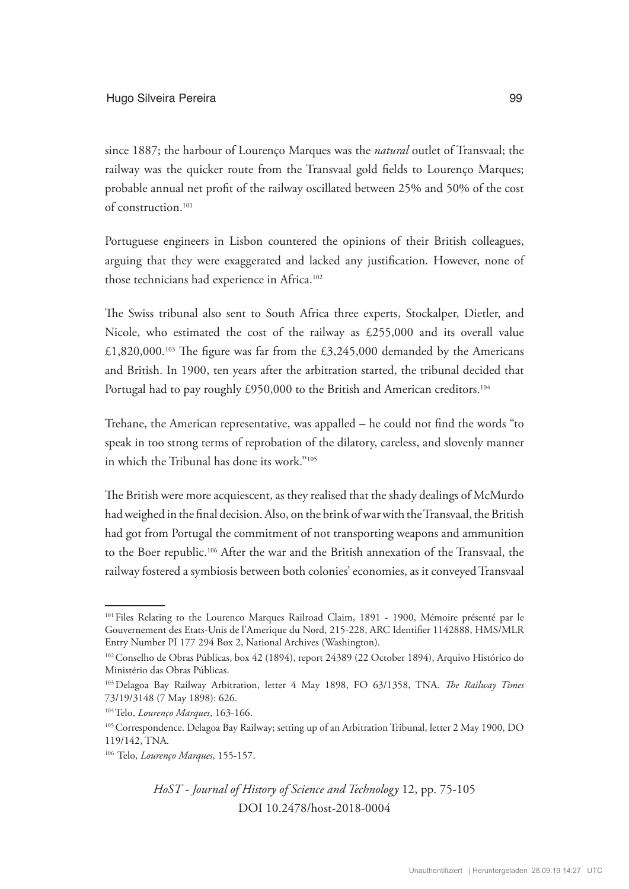since 1887; the harbour of Lourenço Marques was the *natural* outlet of Transvaal; the railway was the quicker route from the Transvaal gold fields to Lourenço Marques; probable annual net profit of the railway oscillated between 25% and 50% of the cost of construction.<sup>101</sup>

Portuguese engineers in Lisbon countered the opinions of their British colleagues, arguing that they were exaggerated and lacked any justification. However, none of those technicians had experience in Africa.102

The Swiss tribunal also sent to South Africa three experts, Stockalper, Dietler, and Nicole, who estimated the cost of the railway as £255,000 and its overall value £1,820,000.<sup>103</sup> The figure was far from the £3,245,000 demanded by the Americans and British. In 1900, ten years after the arbitration started, the tribunal decided that Portugal had to pay roughly £950,000 to the British and American creditors.<sup>104</sup>

Trehane, the American representative, was appalled – he could not find the words "to speak in too strong terms of reprobation of the dilatory, careless, and slovenly manner in which the Tribunal has done its work."105

The British were more acquiescent, as they realised that the shady dealings of McMurdo had weighed in the final decision. Also, on the brink of war with the Transvaal, the British had got from Portugal the commitment of not transporting weapons and ammunition to the Boer republic.106 After the war and the British annexation of the Transvaal, the railway fostered a symbiosis between both colonies' economies, as it conveyed Transvaal

<sup>&</sup>lt;sup>101</sup> Files Relating to the Lourenco Marques Railroad Claim, 1891 - 1900, Mémoire présenté par le Gouvernement des Etats-Unis de l'Amerique du Nord, 215-228, ARC Identifier 1142888, HMS/MLR Entry Number PI 177 294 Box 2, National Archives (Washington).

<sup>&</sup>lt;sup>102</sup> Conselho de Obras Públicas, box 42 (1894), report 24389 (22 October 1894), Arquivo Histórico do Ministério das Obras Públicas.

<sup>103</sup>Delagoa Bay Railway Arbitration, letter 4 May 1898, FO 63/1358, TNA. *The Railway Times*  73/19/3148 (7 May 1898): 626.

<sup>104</sup>Telo, *Lourenço Marques*, 163-166.

<sup>&</sup>lt;sup>105</sup> Correspondence. Delagoa Bay Railway; setting up of an Arbitration Tribunal, letter 2 May 1900, DO 119/142, TNA.

<sup>106</sup> Telo, *Lourenço Marques*, 155-157.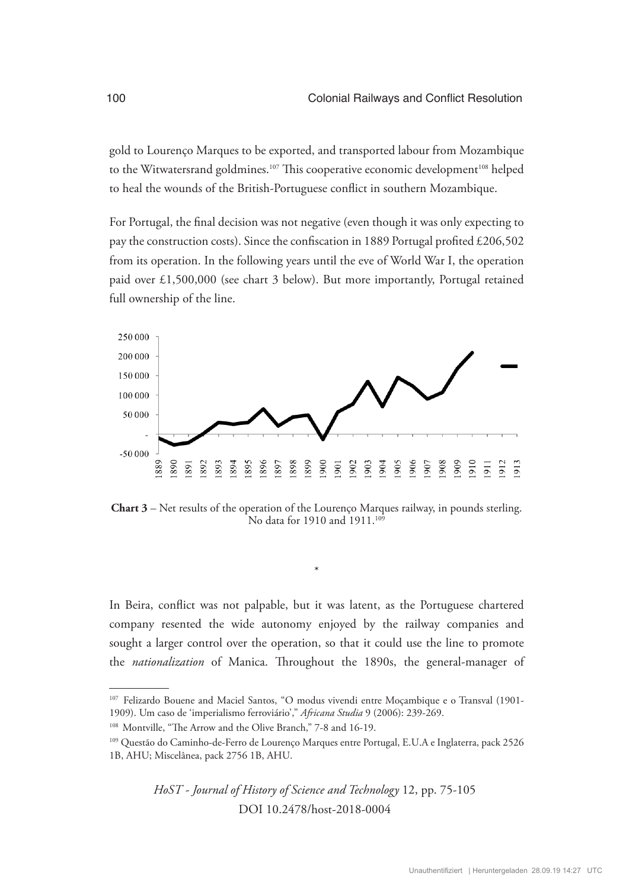gold to Lourenço Marques to be exported, and transported labour from Mozambique to the Witwatersrand goldmines.<sup>107</sup> This cooperative economic development<sup>108</sup> helped to heal the wounds of the British-Portuguese conflict in southern Mozambique.

For Portugal, the final decision was not negative (even though it was only expecting to pay the construction costs). Since the confiscation in 1889 Portugal profited £206,502 from its operation. In the following years until the eve of World War I, the operation paid over £1,500,000 (see chart 3 below). But more importantly, Portugal retained full ownership of the line.



**Chart 3** – Net results of the operation of the Lourenço Marques railway, in pounds sterling. No data for 1910 and 1911.<sup>109</sup>

\*

In Beira, conflict was not palpable, but it was latent, as the Portuguese chartered company resented the wide autonomy enjoyed by the railway companies and sought a larger control over the operation, so that it could use the line to promote the *nationalization* of Manica. Throughout the 1890s, the general-manager of

<sup>107</sup> Felizardo Bouene and Maciel Santos, "O modus vivendi entre Moçambique e o Transval (1901- 1909). Um caso de 'imperialismo ferroviário'," *Africana Studia* 9 (2006): 239-269.

<sup>&</sup>lt;sup>108</sup> Montville, "The Arrow and the Olive Branch," 7-8 and 16-19.

<sup>109</sup> Questão do Caminho-de-Ferro de Lourenço Marques entre Portugal, E.U.A e Inglaterra, pack 2526 1B, AHU; Miscelânea, pack 2756 1B, AHU.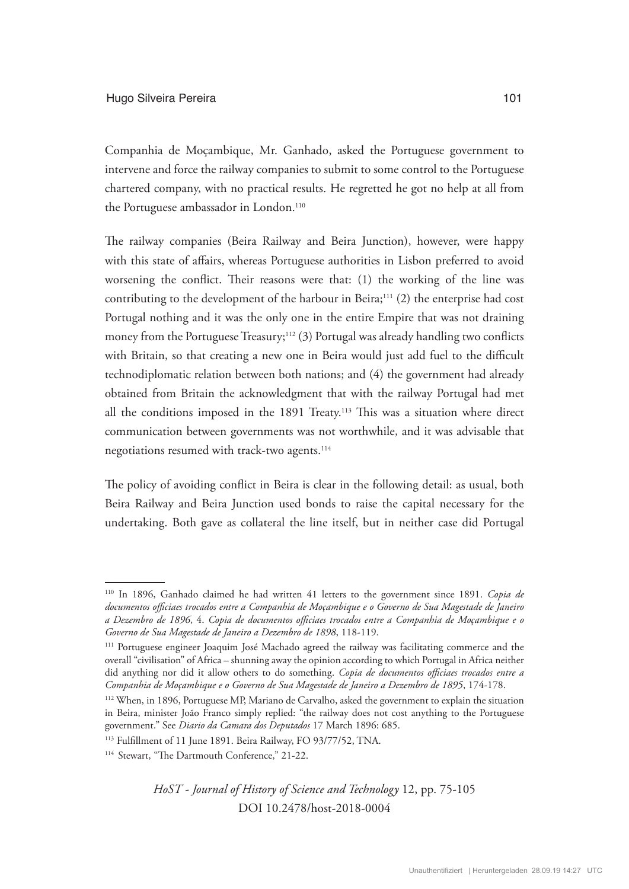Companhia de Moçambique, Mr. Ganhado, asked the Portuguese government to intervene and force the railway companies to submit to some control to the Portuguese chartered company, with no practical results. He regretted he got no help at all from the Portuguese ambassador in London.<sup>110</sup>

The railway companies (Beira Railway and Beira Junction), however, were happy with this state of affairs, whereas Portuguese authorities in Lisbon preferred to avoid worsening the conflict. Their reasons were that: (1) the working of the line was contributing to the development of the harbour in Beira; $111$  (2) the enterprise had cost Portugal nothing and it was the only one in the entire Empire that was not draining money from the Portuguese Treasury; $112$  (3) Portugal was already handling two conflicts with Britain, so that creating a new one in Beira would just add fuel to the difficult technodiplomatic relation between both nations; and (4) the government had already obtained from Britain the acknowledgment that with the railway Portugal had met all the conditions imposed in the 1891 Treaty.<sup>113</sup> This was a situation where direct communication between governments was not worthwhile, and it was advisable that negotiations resumed with track-two agents.<sup>114</sup>

The policy of avoiding conflict in Beira is clear in the following detail: as usual, both Beira Railway and Beira Junction used bonds to raise the capital necessary for the undertaking. Both gave as collateral the line itself, but in neither case did Portugal

<sup>110</sup> In 1896, Ganhado claimed he had written 41 letters to the government since 1891. *Copia de documentos officiaes trocados entre a Companhia de Moçambique e o Governo de Sua Magestade de Janeiro a Dezembro de 1896*, 4. *Copia de documentos officiaes trocados entre a Companhia de Moçambique e o Governo de Sua Magestade de Janeiro a Dezembro de 1898*, 118-119.

<sup>111</sup> Portuguese engineer Joaquim José Machado agreed the railway was facilitating commerce and the overall "civilisation" of Africa – shunning away the opinion according to which Portugal in Africa neither did anything nor did it allow others to do something. *Copia de documentos officiaes trocados entre a Companhia de Moçambique e o Governo de Sua Magestade de Janeiro a Dezembro de 1895*, 174-178.

<sup>112</sup> When, in 1896, Portuguese MP, Mariano de Carvalho, asked the government to explain the situation in Beira, minister João Franco simply replied: "the railway does not cost anything to the Portuguese government." See *Diario da Camara dos Deputados* 17 March 1896: 685.

<sup>113</sup> Fulfillment of 11 June 1891. Beira Railway, FO 93/77/52, TNA.

<sup>&</sup>lt;sup>114</sup> Stewart, "The Dartmouth Conference," 21-22.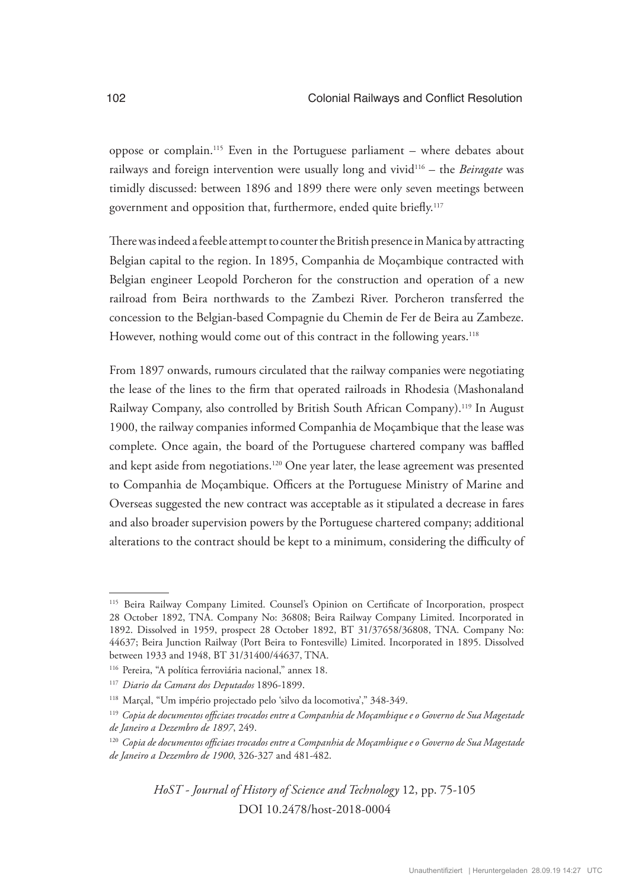oppose or complain.115 Even in the Portuguese parliament – where debates about railways and foreign intervention were usually long and vivid116 – the *Beiragate* was timidly discussed: between 1896 and 1899 there were only seven meetings between government and opposition that, furthermore, ended quite briefly.117

There was indeed a feeble attempt to counter the British presence in Manica by attracting Belgian capital to the region. In 1895, Companhia de Moçambique contracted with Belgian engineer Leopold Porcheron for the construction and operation of a new railroad from Beira northwards to the Zambezi River. Porcheron transferred the concession to the Belgian-based Compagnie du Chemin de Fer de Beira au Zambeze. However, nothing would come out of this contract in the following years.<sup>118</sup>

From 1897 onwards, rumours circulated that the railway companies were negotiating the lease of the lines to the firm that operated railroads in Rhodesia (Mashonaland Railway Company, also controlled by British South African Company).<sup>119</sup> In August 1900, the railway companies informed Companhia de Moçambique that the lease was complete. Once again, the board of the Portuguese chartered company was baffled and kept aside from negotiations.120 One year later, the lease agreement was presented to Companhia de Moçambique. Officers at the Portuguese Ministry of Marine and Overseas suggested the new contract was acceptable as it stipulated a decrease in fares and also broader supervision powers by the Portuguese chartered company; additional alterations to the contract should be kept to a minimum, considering the difficulty of

<sup>115</sup> Beira Railway Company Limited. Counsel's Opinion on Certificate of Incorporation, prospect 28 October 1892, TNA. Company No: 36808; Beira Railway Company Limited. Incorporated in 1892. Dissolved in 1959, prospect 28 October 1892, BT 31/37658/36808, TNA. Company No: 44637; Beira Junction Railway (Port Beira to Fontesville) Limited. Incorporated in 1895. Dissolved between 1933 and 1948, BT 31/31400/44637, TNA.

<sup>&</sup>lt;sup>116</sup> Pereira, "A política ferroviária nacional," annex 18.

<sup>117</sup> *Diario da Camara dos Deputados* 1896-1899.

<sup>118</sup> Marçal, "Um império projectado pelo 'silvo da locomotiva'," 348-349.

<sup>119</sup> *Copia de documentos officiaes trocados entre a Companhia de Moçambique e o Governo de Sua Magestade de Janeiro a Dezembro de 1897*, 249.

<sup>120</sup> *Copia de documentos officiaes trocados entre a Companhia de Moçambique e o Governo de Sua Magestade de Janeiro a Dezembro de 1900*, 326-327 and 481-482.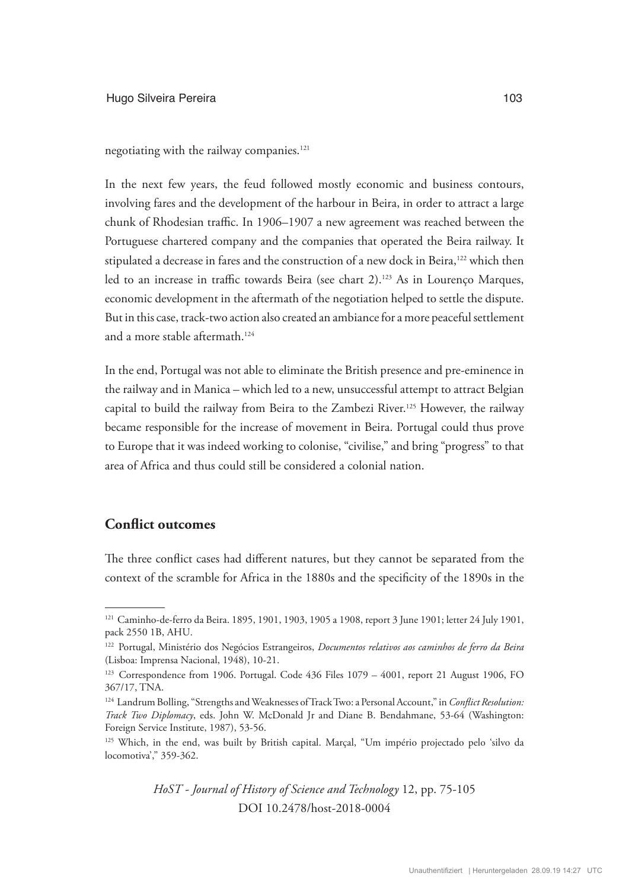negotiating with the railway companies.<sup>121</sup>

In the next few years, the feud followed mostly economic and business contours, involving fares and the development of the harbour in Beira, in order to attract a large chunk of Rhodesian traffic. In 1906–1907 a new agreement was reached between the Portuguese chartered company and the companies that operated the Beira railway. It stipulated a decrease in fares and the construction of a new dock in Beira,<sup>122</sup> which then led to an increase in traffic towards Beira (see chart 2).<sup>123</sup> As in Lourenço Marques, economic development in the aftermath of the negotiation helped to settle the dispute. But in this case, track-two action also created an ambiance for a more peaceful settlement and a more stable aftermath.124

In the end, Portugal was not able to eliminate the British presence and pre-eminence in the railway and in Manica – which led to a new, unsuccessful attempt to attract Belgian capital to build the railway from Beira to the Zambezi River.<sup>125</sup> However, the railway became responsible for the increase of movement in Beira. Portugal could thus prove to Europe that it was indeed working to colonise, "civilise," and bring "progress" to that area of Africa and thus could still be considered a colonial nation.

# **Conflict outcomes**

The three conflict cases had different natures, but they cannot be separated from the context of the scramble for Africa in the 1880s and the specificity of the 1890s in the

<sup>121</sup> Caminho-de-ferro da Beira. 1895, 1901, 1903, 1905 a 1908, report 3 June 1901; letter 24 July 1901, pack 2550 1B, AHU.

<sup>122</sup> Portugal, Ministério dos Negócios Estrangeiros, *Documentos relativos aos caminhos de ferro da Beira*  (Lisboa: Imprensa Nacional, 1948), 10-21.

<sup>&</sup>lt;sup>123</sup> Correspondence from 1906. Portugal. Code 436 Files 1079 - 4001, report 21 August 1906, FO 367/17, TNA.

<sup>124</sup> Landrum Bolling, "Strengths and Weaknesses of Track Two: a Personal Account," in *Conflict Resolution: Track Two Diplomacy*, eds. John W. McDonald Jr and Diane B. Bendahmane, 53-64 (Washington: Foreign Service Institute, 1987), 53-56.

<sup>125</sup> Which, in the end, was built by British capital. Marçal, "Um império projectado pelo 'silvo da locomotiva'," 359-362.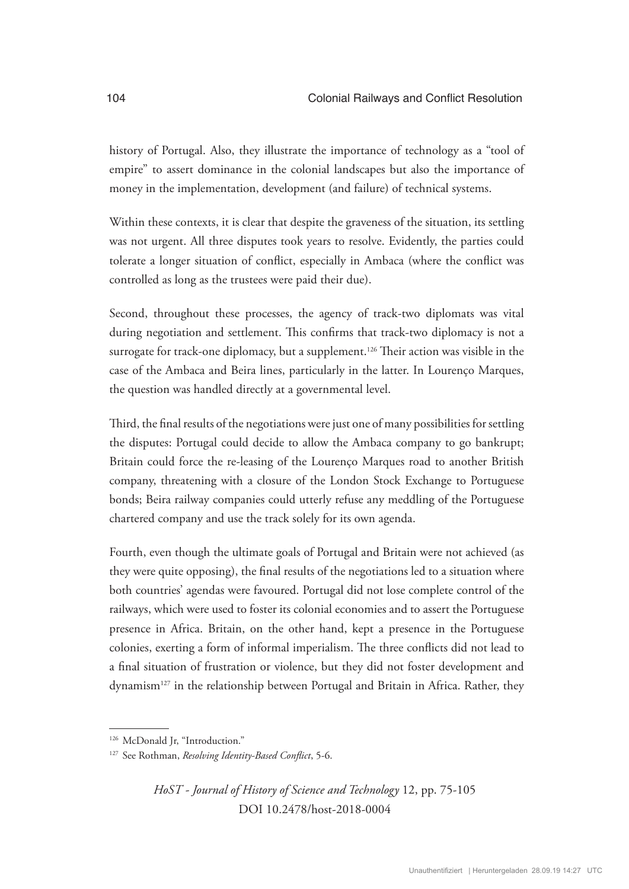history of Portugal. Also, they illustrate the importance of technology as a "tool of empire" to assert dominance in the colonial landscapes but also the importance of money in the implementation, development (and failure) of technical systems.

Within these contexts, it is clear that despite the graveness of the situation, its settling was not urgent. All three disputes took years to resolve. Evidently, the parties could tolerate a longer situation of conflict, especially in Ambaca (where the conflict was controlled as long as the trustees were paid their due).

Second, throughout these processes, the agency of track-two diplomats was vital during negotiation and settlement. This confirms that track-two diplomacy is not a surrogate for track-one diplomacy, but a supplement.<sup>126</sup> Their action was visible in the case of the Ambaca and Beira lines, particularly in the latter. In Lourenço Marques, the question was handled directly at a governmental level.

Third, the final results of the negotiations were just one of many possibilities for settling the disputes: Portugal could decide to allow the Ambaca company to go bankrupt; Britain could force the re-leasing of the Lourenço Marques road to another British company, threatening with a closure of the London Stock Exchange to Portuguese bonds; Beira railway companies could utterly refuse any meddling of the Portuguese chartered company and use the track solely for its own agenda.

Fourth, even though the ultimate goals of Portugal and Britain were not achieved (as they were quite opposing), the final results of the negotiations led to a situation where both countries' agendas were favoured. Portugal did not lose complete control of the railways, which were used to foster its colonial economies and to assert the Portuguese presence in Africa. Britain, on the other hand, kept a presence in the Portuguese colonies, exerting a form of informal imperialism. The three conflicts did not lead to a final situation of frustration or violence, but they did not foster development and dynamism127 in the relationship between Portugal and Britain in Africa. Rather, they

<sup>&</sup>lt;sup>126</sup> McDonald Jr, "Introduction."

<sup>127</sup> See Rothman, *Resolving Identity-Based Conflict*, 5-6.